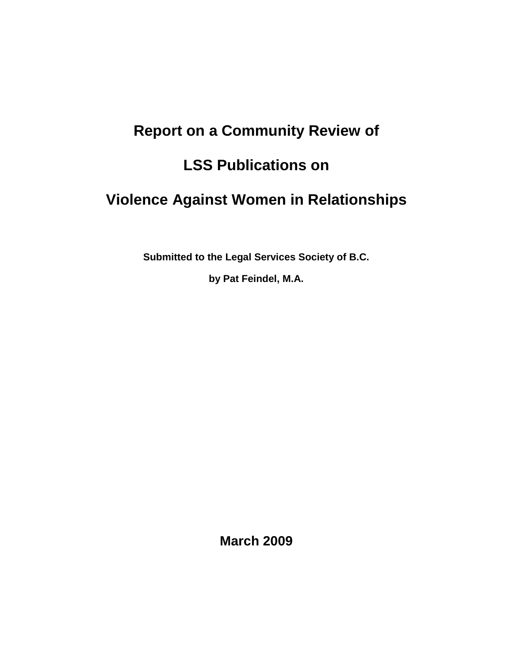# **Report on a Community Review of**

# **LSS Publications on**

# **Violence Against Women in Relationships**

**Submitted to the Legal Services Society of B.C.** 

**by Pat Feindel, M.A.**

**March 2009**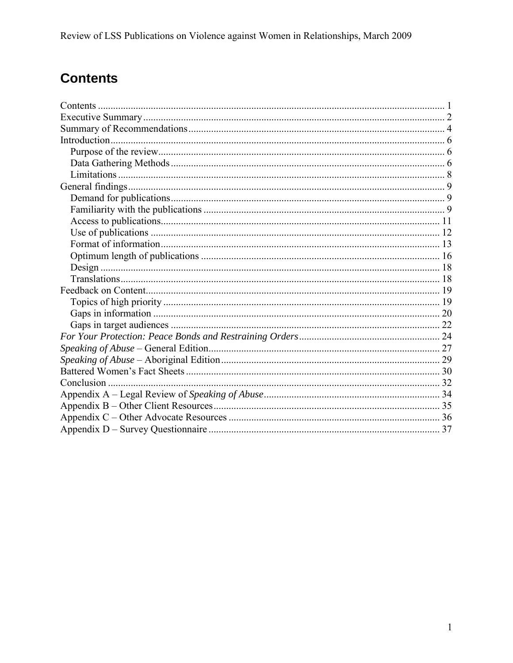# **Contents**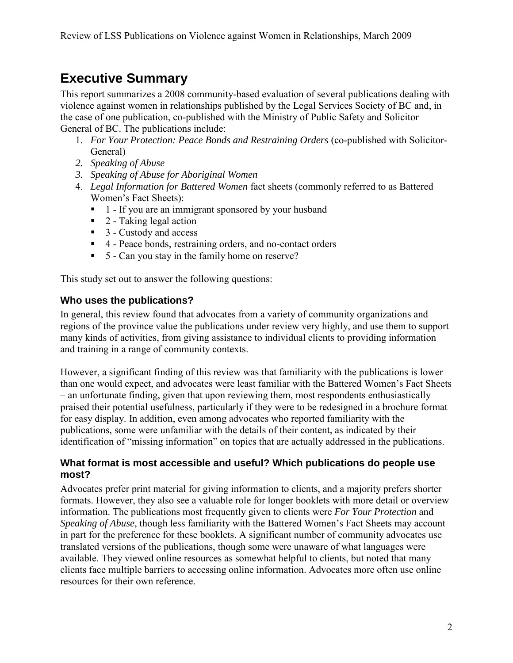# **Executive Summary**

This report summarizes a 2008 community-based evaluation of several publications dealing with violence against women in relationships published by the Legal Services Society of BC and, in the case of one publication, co-published with the Ministry of Public Safety and Solicitor General of BC. The publications include:

- 1. *For Your Protection: Peace Bonds and Restraining Orders* (co-published with Solicitor-General)
- *2. Speaking of Abuse*
- *3. Speaking of Abuse for Aboriginal Women*
- 4. *Legal Information for Battered Women* fact sheets (commonly referred to as Battered Women's Fact Sheets):
	- 1 If you are an immigrant sponsored by your husband
	- $\blacksquare$  2 Taking legal action
	- 3 Custody and access
	- 4 Peace bonds, restraining orders, and no-contact orders
	- 5 Can you stay in the family home on reserve?

This study set out to answer the following questions:

### **Who uses the publications?**

In general, this review found that advocates from a variety of community organizations and regions of the province value the publications under review very highly, and use them to support many kinds of activities, from giving assistance to individual clients to providing information and training in a range of community contexts.

However, a significant finding of this review was that familiarity with the publications is lower than one would expect, and advocates were least familiar with the Battered Women's Fact Sheets – an unfortunate finding, given that upon reviewing them, most respondents enthusiastically praised their potential usefulness, particularly if they were to be redesigned in a brochure format for easy display. In addition, even among advocates who reported familiarity with the publications, some were unfamiliar with the details of their content, as indicated by their identification of "missing information" on topics that are actually addressed in the publications.

### **What format is most accessible and useful? Which publications do people use most?**

Advocates prefer print material for giving information to clients, and a majority prefers shorter formats. However, they also see a valuable role for longer booklets with more detail or overview information. The publications most frequently given to clients were *For Your Protection* and *Speaking of Abuse*, though less familiarity with the Battered Women's Fact Sheets may account in part for the preference for these booklets. A significant number of community advocates use translated versions of the publications, though some were unaware of what languages were available. They viewed online resources as somewhat helpful to clients, but noted that many clients face multiple barriers to accessing online information. Advocates more often use online resources for their own reference.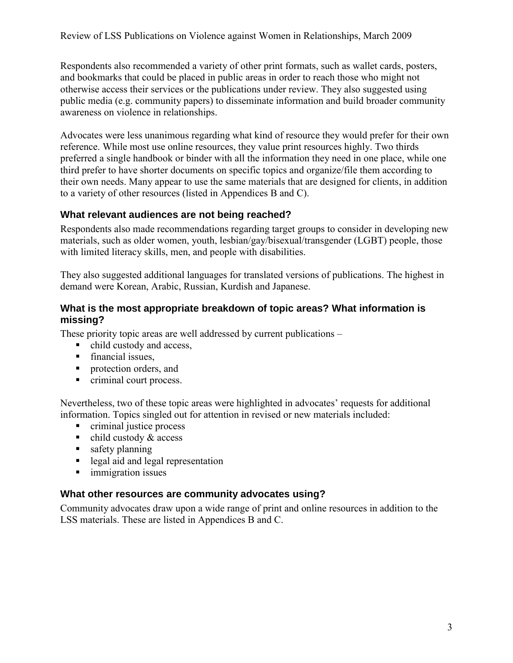Respondents also recommended a variety of other print formats, such as wallet cards, posters, and bookmarks that could be placed in public areas in order to reach those who might not otherwise access their services or the publications under review. They also suggested using public media (e.g. community papers) to disseminate information and build broader community awareness on violence in relationships.

Advocates were less unanimous regarding what kind of resource they would prefer for their own reference. While most use online resources, they value print resources highly. Two thirds preferred a single handbook or binder with all the information they need in one place, while one third prefer to have shorter documents on specific topics and organize/file them according to their own needs. Many appear to use the same materials that are designed for clients, in addition to a variety of other resources (listed in Appendices B and C).

### **What relevant audiences are not being reached?**

Respondents also made recommendations regarding target groups to consider in developing new materials, such as older women, youth, lesbian/gay/bisexual/transgender (LGBT) people, those with limited literacy skills, men, and people with disabilities.

They also suggested additional languages for translated versions of publications. The highest in demand were Korean, Arabic, Russian, Kurdish and Japanese.

### **What is the most appropriate breakdown of topic areas? What information is missing?**

These priority topic areas are well addressed by current publications –

- child custody and access,
- **financial issues,**
- **Protection orders, and**
- criminal court process.

Nevertheless, two of these topic areas were highlighted in advocates' requests for additional information. Topics singled out for attention in revised or new materials included:

- **c** criminal justice process
- $\blacksquare$  child custody & access
- safety planning
- legal aid and legal representation
- **immigration issues**

### **What other resources are community advocates using?**

Community advocates draw upon a wide range of print and online resources in addition to the LSS materials. These are listed in Appendices B and C.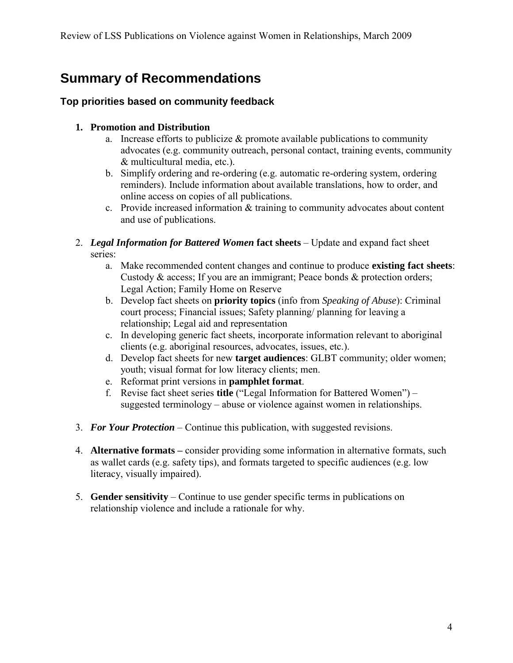# **Summary of Recommendations**

## **Top priorities based on community feedback**

## **1. Promotion and Distribution**

- a. Increase efforts to publicize  $\&$  promote available publications to community advocates (e.g. community outreach, personal contact, training events, community & multicultural media, etc.).
- b. Simplify ordering and re-ordering (e.g. automatic re-ordering system, ordering reminders). Include information about available translations, how to order, and online access on copies of all publications.
- c. Provide increased information & training to community advocates about content and use of publications.

#### 2. *Legal Information for Battered Women* **fact sheets** – Update and expand fact sheet series:

- a. Make recommended content changes and continue to produce **existing fact sheets**: Custody & access; If you are an immigrant; Peace bonds & protection orders; Legal Action; Family Home on Reserve
- b. Develop fact sheets on **priority topics** (info from *Speaking of Abuse*): Criminal court process; Financial issues; Safety planning/ planning for leaving a relationship; Legal aid and representation
- c. In developing generic fact sheets, incorporate information relevant to aboriginal clients (e.g. aboriginal resources, advocates, issues, etc.).
- d. Develop fact sheets for new **target audiences**: GLBT community; older women; youth; visual format for low literacy clients; men.
- e. Reformat print versions in **pamphlet format**.
- f. Revise fact sheet series **title** ("Legal Information for Battered Women") suggested terminology – abuse or violence against women in relationships.
- 3. *For Your Protection*  Continue this publication, with suggested revisions.
- 4. **Alternative formats –** consider providing some information in alternative formats, such as wallet cards (e.g. safety tips), and formats targeted to specific audiences (e.g. low literacy, visually impaired).
- 5. **Gender sensitivity** Continue to use gender specific terms in publications on relationship violence and include a rationale for why.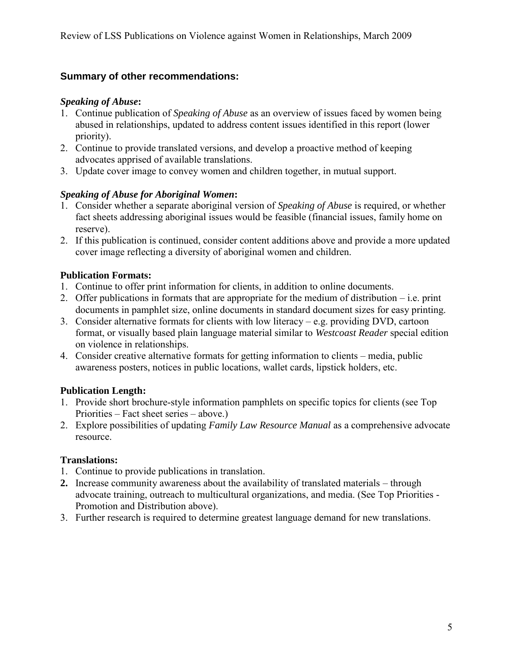# **Summary of other recommendations:**

### *Speaking of Abuse***:**

- 1. Continue publication of *Speaking of Abuse* as an overview of issues faced by women being abused in relationships, updated to address content issues identified in this report (lower priority).
- 2. Continue to provide translated versions, and develop a proactive method of keeping advocates apprised of available translations.
- 3. Update cover image to convey women and children together, in mutual support.

### *Speaking of Abuse for Aboriginal Women***:**

- 1. Consider whether a separate aboriginal version of *Speaking of Abuse* is required, or whether fact sheets addressing aboriginal issues would be feasible (financial issues, family home on reserve).
- 2. If this publication is continued, consider content additions above and provide a more updated cover image reflecting a diversity of aboriginal women and children.

### **Publication Formats:**

- 1. Continue to offer print information for clients, in addition to online documents.
- 2. Offer publications in formats that are appropriate for the medium of distribution i.e. print documents in pamphlet size, online documents in standard document sizes for easy printing.
- 3. Consider alternative formats for clients with low literacy e.g. providing DVD, cartoon format, or visually based plain language material similar to *Westcoast Reader* special edition on violence in relationships.
- 4. Consider creative alternative formats for getting information to clients media, public awareness posters, notices in public locations, wallet cards, lipstick holders, etc.

## **Publication Length:**

- 1. Provide short brochure-style information pamphlets on specific topics for clients (see Top Priorities – Fact sheet series – above.)
- 2. Explore possibilities of updating *Family Law Resource Manual* as a comprehensive advocate resource.

## **Translations:**

- 1. Continue to provide publications in translation.
- **2.** Increase community awareness about the availability of translated materials through advocate training, outreach to multicultural organizations, and media. (See Top Priorities - Promotion and Distribution above).
- 3. Further research is required to determine greatest language demand for new translations.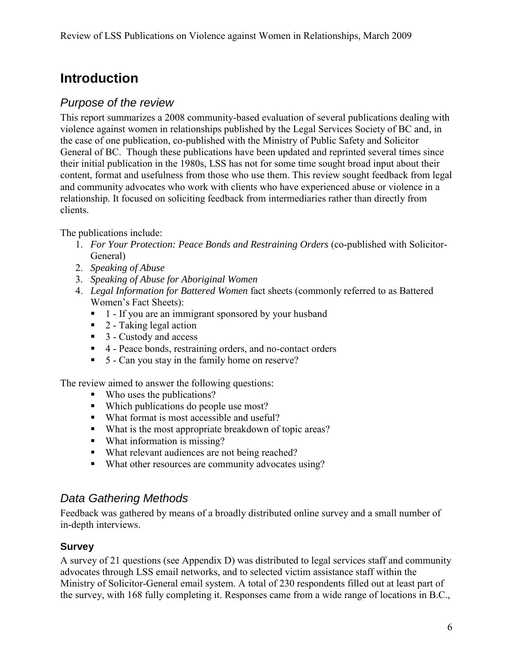# **Introduction**

# *Purpose of the review*

This report summarizes a 2008 community-based evaluation of several publications dealing with violence against women in relationships published by the Legal Services Society of BC and, in the case of one publication, co-published with the Ministry of Public Safety and Solicitor General of BC. Though these publications have been updated and reprinted several times since their initial publication in the 1980s, LSS has not for some time sought broad input about their content, format and usefulness from those who use them. This review sought feedback from legal and community advocates who work with clients who have experienced abuse or violence in a relationship. It focused on soliciting feedback from intermediaries rather than directly from clients.

The publications include:

- 1. *For Your Protection: Peace Bonds and Restraining Orders* (co-published with Solicitor-General)
- 2. *Speaking of Abuse*
- 3. *Speaking of Abuse for Aboriginal Women*
- 4. *Legal Information for Battered Women* fact sheets (commonly referred to as Battered Women's Fact Sheets):
	- 1 If you are an immigrant sponsored by your husband
	- $\blacksquare$  2 Taking legal action
	- 3 Custody and access
	- 4 Peace bonds, restraining orders, and no-contact orders
	- 5 Can you stay in the family home on reserve?

The review aimed to answer the following questions:

- Who uses the publications?
- Which publications do people use most?
- What format is most accessible and useful?
- What is the most appropriate breakdown of topic areas?
- What information is missing?
- What relevant audiences are not being reached?
- What other resources are community advocates using?

# *Data Gathering Methods*

Feedback was gathered by means of a broadly distributed online survey and a small number of in-depth interviews.

## **Survey**

A survey of 21 questions (see Appendix D) was distributed to legal services staff and community advocates through LSS email networks, and to selected victim assistance staff within the Ministry of Solicitor-General email system. A total of 230 respondents filled out at least part of the survey, with 168 fully completing it. Responses came from a wide range of locations in B.C.,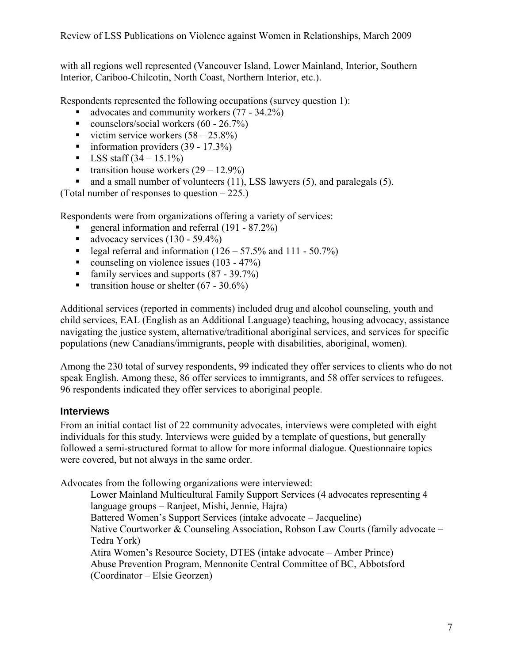with all regions well represented (Vancouver Island, Lower Mainland, Interior, Southern Interior, Cariboo-Chilcotin, North Coast, Northern Interior, etc.).

Respondents represented the following occupations (survey question 1):

- advocates and community workers (77 34.2%)
- counselors/social workers  $(60 26.7%)$
- victim service workers  $(58 25.8\%)$
- information providers  $(39 17.3\%)$
- $\blacksquare$  LSS staff  $(34 15.1\%)$
- **transition house workers**  $(29 12.9\%)$
- and a small number of volunteers  $(11)$ , LSS lawyers  $(5)$ , and paralegals  $(5)$ .

(Total number of responses to question – 225.)

Respondents were from organizations offering a variety of services:

- general information and referral (191 87.2%)
- advocacy services  $(130 59.4\%)$
- legal referral and information  $(126 57.5\%$  and  $111 50.7\%)$
- counseling on violence issues  $(103 47%)$
- family services and supports  $(87 39.7%)$
- **transition house or shelter (67 30.6%)**

Additional services (reported in comments) included drug and alcohol counseling, youth and child services, EAL (English as an Additional Language) teaching, housing advocacy, assistance navigating the justice system, alternative/traditional aboriginal services, and services for specific populations (new Canadians/immigrants, people with disabilities, aboriginal, women).

Among the 230 total of survey respondents, 99 indicated they offer services to clients who do not speak English. Among these, 86 offer services to immigrants, and 58 offer services to refugees. 96 respondents indicated they offer services to aboriginal people.

### **Interviews**

From an initial contact list of 22 community advocates, interviews were completed with eight individuals for this study. Interviews were guided by a template of questions, but generally followed a semi-structured format to allow for more informal dialogue. Questionnaire topics were covered, but not always in the same order.

Advocates from the following organizations were interviewed:

Lower Mainland Multicultural Family Support Services (4 advocates representing 4 language groups – Ranjeet, Mishi, Jennie, Hajra) Battered Women's Support Services (intake advocate – Jacqueline) Native Courtworker & Counseling Association, Robson Law Courts (family advocate – Tedra York) Atira Women's Resource Society, DTES (intake advocate – Amber Prince) Abuse Prevention Program, Mennonite Central Committee of BC, Abbotsford (Coordinator – Elsie Georzen)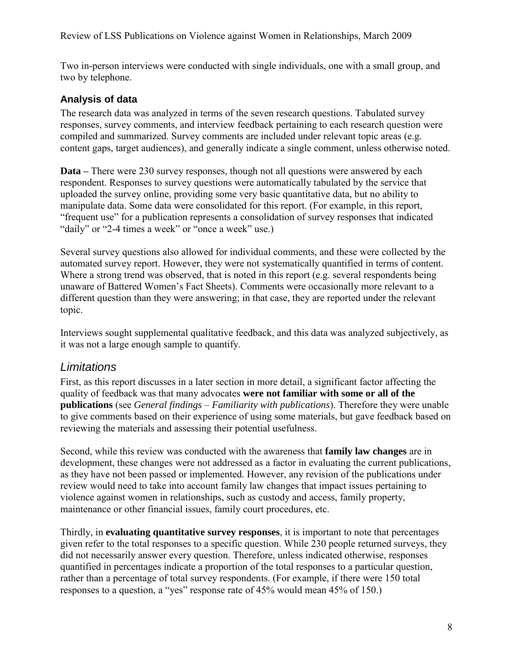Two in-person interviews were conducted with single individuals, one with a small group, and two by telephone.

## **Analysis of data**

The research data was analyzed in terms of the seven research questions. Tabulated survey responses, survey comments, and interview feedback pertaining to each research question were compiled and summarized. Survey comments are included under relevant topic areas (e.g. content gaps, target audiences), and generally indicate a single comment, unless otherwise noted.

**Data –** There were 230 survey responses, though not all questions were answered by each respondent. Responses to survey questions were automatically tabulated by the service that uploaded the survey online, providing some very basic quantitative data, but no ability to manipulate data. Some data were consolidated for this report. (For example, in this report, "frequent use" for a publication represents a consolidation of survey responses that indicated "daily" or "2-4 times a week" or "once a week" use.)

Several survey questions also allowed for individual comments, and these were collected by the automated survey report. However, they were not systematically quantified in terms of content. Where a strong trend was observed, that is noted in this report (e.g. several respondents being unaware of Battered Women's Fact Sheets). Comments were occasionally more relevant to a different question than they were answering; in that case, they are reported under the relevant topic.

Interviews sought supplemental qualitative feedback, and this data was analyzed subjectively, as it was not a large enough sample to quantify.

# *Limitations*

First, as this report discusses in a later section in more detail, a significant factor affecting the quality of feedback was that many advocates **were not familiar with some or all of the publications** (see *General findings – Familiarity with publications*). Therefore they were unable to give comments based on their experience of using some materials, but gave feedback based on reviewing the materials and assessing their potential usefulness.

Second, while this review was conducted with the awareness that **family law changes** are in development, these changes were not addressed as a factor in evaluating the current publications, as they have not been passed or implemented. However, any revision of the publications under review would need to take into account family law changes that impact issues pertaining to violence against women in relationships, such as custody and access, family property, maintenance or other financial issues, family court procedures, etc.

Thirdly, in **evaluating quantitative survey responses**, it is important to note that percentages given refer to the total responses to a specific question. While 230 people returned surveys, they did not necessarily answer every question. Therefore, unless indicated otherwise, responses quantified in percentages indicate a proportion of the total responses to a particular question, rather than a percentage of total survey respondents. (For example, if there were 150 total responses to a question, a "yes" response rate of 45% would mean 45% of 150.)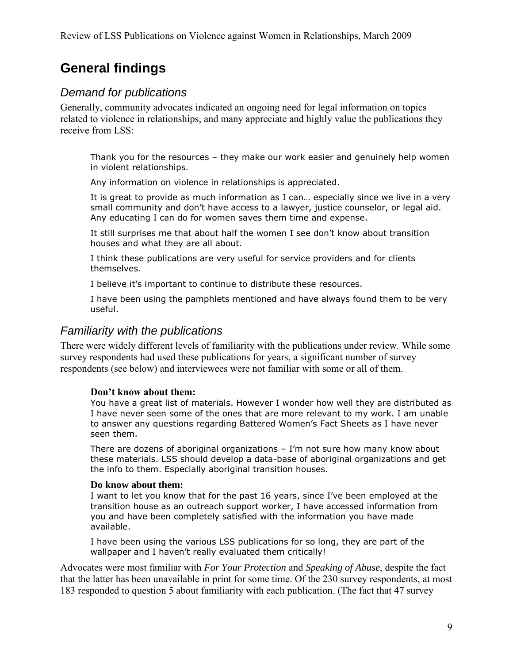# **General findings**

# *Demand for publications*

Generally, community advocates indicated an ongoing need for legal information on topics related to violence in relationships, and many appreciate and highly value the publications they receive from LSS:

Thank you for the resources – they make our work easier and genuinely help women in violent relationships.

Any information on violence in relationships is appreciated.

It is great to provide as much information as I can… especially since we live in a very small community and don't have access to a lawyer, justice counselor, or legal aid. Any educating I can do for women saves them time and expense.

It still surprises me that about half the women I see don't know about transition houses and what they are all about.

I think these publications are very useful for service providers and for clients themselves.

I believe it's important to continue to distribute these resources.

I have been using the pamphlets mentioned and have always found them to be very useful.

# *Familiarity with the publications*

There were widely different levels of familiarity with the publications under review. While some survey respondents had used these publications for years, a significant number of survey respondents (see below) and interviewees were not familiar with some or all of them.

### **Don't know about them:**

You have a great list of materials. However I wonder how well they are distributed as I have never seen some of the ones that are more relevant to my work. I am unable to answer any questions regarding Battered Women's Fact Sheets as I have never seen them.

There are dozens of aboriginal organizations  $-$  I'm not sure how many know about these materials. LSS should develop a data-base of aboriginal organizations and get the info to them. Especially aboriginal transition houses.

#### **Do know about them:**

I want to let you know that for the past 16 years, since I've been employed at the transition house as an outreach support worker, I have accessed information from you and have been completely satisfied with the information you have made available.

I have been using the various LSS publications for so long, they are part of the wallpaper and I haven't really evaluated them critically!

Advocates were most familiar with *For Your Protection* and *Speaking of Abuse*, despite the fact that the latter has been unavailable in print for some time. Of the 230 survey respondents, at most 183 responded to question 5 about familiarity with each publication. (The fact that 47 survey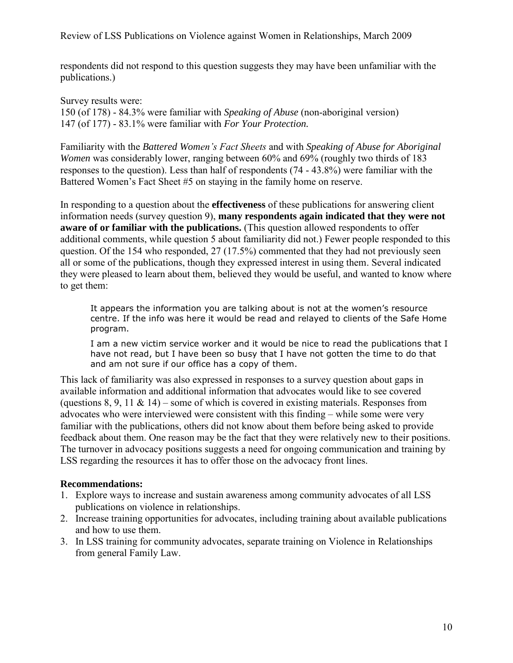respondents did not respond to this question suggests they may have been unfamiliar with the publications.)

Survey results were: 150 (of 178) - 84.3% were familiar with *Speaking of Abuse* (non-aboriginal version) 147 (of 177) - 83.1% were familiar with *For Your Protection.*

Familiarity with the *Battered Women's Fact Sheets* and with *Speaking of Abuse for Aboriginal Women* was considerably lower, ranging between 60% and 69% (roughly two thirds of 183 responses to the question). Less than half of respondents (74 - 43.8%) were familiar with the Battered Women's Fact Sheet #5 on staying in the family home on reserve.

In responding to a question about the **effectiveness** of these publications for answering client information needs (survey question 9), **many respondents again indicated that they were not aware of or familiar with the publications.** (This question allowed respondents to offer additional comments, while question 5 about familiarity did not.) Fewer people responded to this question. Of the 154 who responded, 27 (17.5%) commented that they had not previously seen all or some of the publications, though they expressed interest in using them. Several indicated they were pleased to learn about them, believed they would be useful, and wanted to know where to get them:

It appears the information you are talking about is not at the women's resource centre. If the info was here it would be read and relayed to clients of the Safe Home program.

I am a new victim service worker and it would be nice to read the publications that I have not read, but I have been so busy that I have not gotten the time to do that and am not sure if our office has a copy of them.

This lack of familiarity was also expressed in responses to a survey question about gaps in available information and additional information that advocates would like to see covered (questions 8, 9, 11  $\&$  14) – some of which is covered in existing materials. Responses from advocates who were interviewed were consistent with this finding – while some were very familiar with the publications, others did not know about them before being asked to provide feedback about them. One reason may be the fact that they were relatively new to their positions. The turnover in advocacy positions suggests a need for ongoing communication and training by LSS regarding the resources it has to offer those on the advocacy front lines.

### **Recommendations:**

- 1. Explore ways to increase and sustain awareness among community advocates of all LSS publications on violence in relationships.
- 2. Increase training opportunities for advocates, including training about available publications and how to use them.
- 3. In LSS training for community advocates, separate training on Violence in Relationships from general Family Law.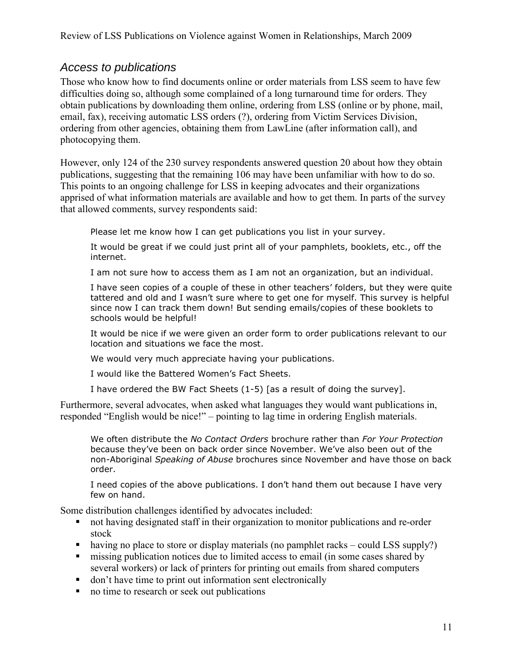# *Access to publications*

Those who know how to find documents online or order materials from LSS seem to have few difficulties doing so, although some complained of a long turnaround time for orders. They obtain publications by downloading them online, ordering from LSS (online or by phone, mail, email, fax), receiving automatic LSS orders (?), ordering from Victim Services Division, ordering from other agencies, obtaining them from LawLine (after information call), and photocopying them.

However, only 124 of the 230 survey respondents answered question 20 about how they obtain publications, suggesting that the remaining 106 may have been unfamiliar with how to do so. This points to an ongoing challenge for LSS in keeping advocates and their organizations apprised of what information materials are available and how to get them. In parts of the survey that allowed comments, survey respondents said:

Please let me know how I can get publications you list in your survey.

It would be great if we could just print all of your pamphlets, booklets, etc., off the internet.

I am not sure how to access them as I am not an organization, but an individual.

I have seen copies of a couple of these in other teachers' folders, but they were quite tattered and old and I wasn't sure where to get one for myself. This survey is helpful since now I can track them down! But sending emails/copies of these booklets to schools would be helpful!

It would be nice if we were given an order form to order publications relevant to our location and situations we face the most.

We would very much appreciate having your publications.

I would like the Battered Women's Fact Sheets.

I have ordered the BW Fact Sheets (1-5) [as a result of doing the survey].

Furthermore, several advocates, when asked what languages they would want publications in, responded "English would be nice!" – pointing to lag time in ordering English materials.

We often distribute the *No Contact Orders* brochure rather than *For Your Protection* because they've been on back order since November. We've also been out of the non-Aboriginal *Speaking of Abuse* brochures since November and have those on back order.

I need copies of the above publications. I don't hand them out because I have very few on hand.

Some distribution challenges identified by advocates included:

- not having designated staff in their organization to monitor publications and re-order stock
- having no place to store or display materials (no pamphlet racks could LSS supply?)
- **missing publication notices due to limited access to email (in some cases shared by** several workers) or lack of printers for printing out emails from shared computers
- don't have time to print out information sent electronically
- no time to research or seek out publications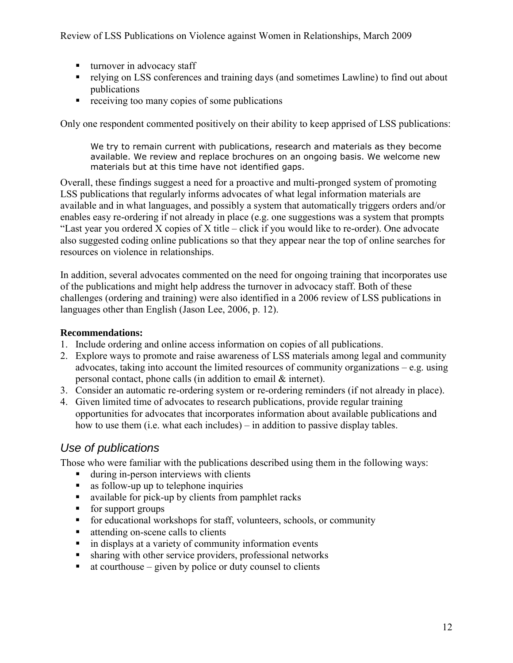- turnover in advocacy staff
- relying on LSS conferences and training days (and sometimes Lawline) to find out about publications
- **•** receiving too many copies of some publications

Only one respondent commented positively on their ability to keep apprised of LSS publications:

We try to remain current with publications, research and materials as they become available. We review and replace brochures on an ongoing basis. We welcome new materials but at this time have not identified gaps.

Overall, these findings suggest a need for a proactive and multi-pronged system of promoting LSS publications that regularly informs advocates of what legal information materials are available and in what languages, and possibly a system that automatically triggers orders and/or enables easy re-ordering if not already in place (e.g. one suggestions was a system that prompts "Last year you ordered X copies of X title – click if you would like to re-order). One advocate also suggested coding online publications so that they appear near the top of online searches for resources on violence in relationships.

In addition, several advocates commented on the need for ongoing training that incorporates use of the publications and might help address the turnover in advocacy staff. Both of these challenges (ordering and training) were also identified in a 2006 review of LSS publications in languages other than English (Jason Lee, 2006, p. 12).

#### **Recommendations:**

- 1. Include ordering and online access information on copies of all publications.
- 2. Explore ways to promote and raise awareness of LSS materials among legal and community advocates, taking into account the limited resources of community organizations  $-e.g.$  using personal contact, phone calls (in addition to email & internet).
- 3. Consider an automatic re-ordering system or re-ordering reminders (if not already in place).
- 4. Given limited time of advocates to research publications, provide regular training opportunities for advocates that incorporates information about available publications and how to use them (i.e. what each includes) – in addition to passive display tables.

# *Use of publications*

Those who were familiar with the publications described using them in the following ways:

- during in-person interviews with clients
- **as follow-up up to telephone inquiries**
- available for pick-up by clients from pamphlet racks
- **for support groups**
- for educational workshops for staff, volunteers, schools, or community
- attending on-scene calls to clients
- $\blacksquare$  in displays at a variety of community information events
- sharing with other service providers, professional networks
- $\blacksquare$  at courthouse given by police or duty counsel to clients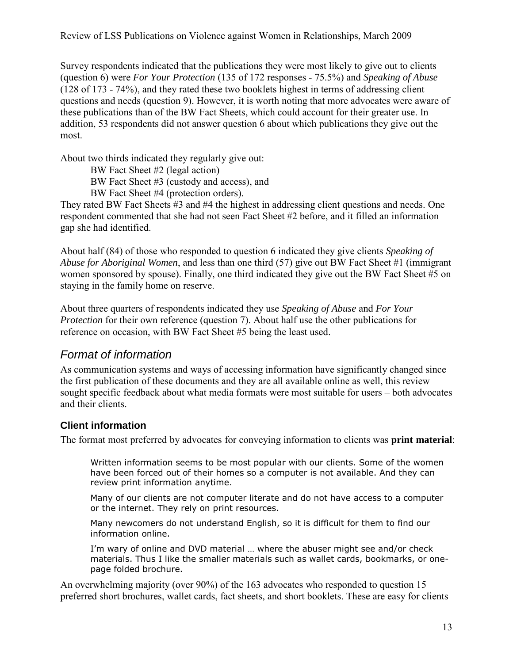Survey respondents indicated that the publications they were most likely to give out to clients (question 6) were *For Your Protection* (135 of 172 responses - 75.5%) and *Speaking of Abuse*  (128 of 173 - 74%), and they rated these two booklets highest in terms of addressing client questions and needs (question 9). However, it is worth noting that more advocates were aware of these publications than of the BW Fact Sheets, which could account for their greater use. In addition, 53 respondents did not answer question 6 about which publications they give out the most.

About two thirds indicated they regularly give out:

BW Fact Sheet #2 (legal action)

- BW Fact Sheet #3 (custody and access), and
- BW Fact Sheet #4 (protection orders).

They rated BW Fact Sheets #3 and #4 the highest in addressing client questions and needs. One respondent commented that she had not seen Fact Sheet #2 before, and it filled an information gap she had identified.

About half (84) of those who responded to question 6 indicated they give clients *Speaking of Abuse for Aboriginal Women*, and less than one third (57) give out BW Fact Sheet #1 (immigrant women sponsored by spouse). Finally, one third indicated they give out the BW Fact Sheet #5 on staying in the family home on reserve.

About three quarters of respondents indicated they use *Speaking of Abuse* and *For Your Protection* for their own reference (question 7). About half use the other publications for reference on occasion, with BW Fact Sheet #5 being the least used.

# *Format of information*

As communication systems and ways of accessing information have significantly changed since the first publication of these documents and they are all available online as well, this review sought specific feedback about what media formats were most suitable for users – both advocates and their clients.

## **Client information**

The format most preferred by advocates for conveying information to clients was **print material**:

Written information seems to be most popular with our clients. Some of the women have been forced out of their homes so a computer is not available. And they can review print information anytime.

Many of our clients are not computer literate and do not have access to a computer or the internet. They rely on print resources.

Many newcomers do not understand English, so it is difficult for them to find our information online.

I'm wary of online and DVD material … where the abuser might see and/or check materials. Thus I like the smaller materials such as wallet cards, bookmarks, or onepage folded brochure.

An overwhelming majority (over 90%) of the 163 advocates who responded to question 15 preferred short brochures, wallet cards, fact sheets, and short booklets. These are easy for clients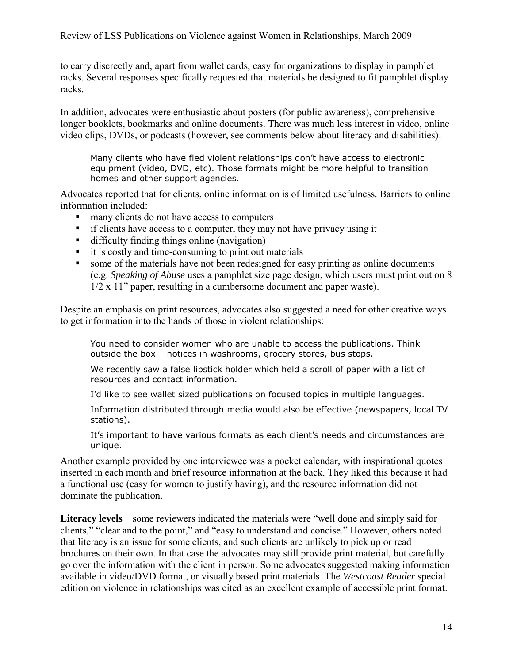to carry discreetly and, apart from wallet cards, easy for organizations to display in pamphlet racks. Several responses specifically requested that materials be designed to fit pamphlet display racks.

In addition, advocates were enthusiastic about posters (for public awareness), comprehensive longer booklets, bookmarks and online documents. There was much less interest in video, online video clips, DVDs, or podcasts (however, see comments below about literacy and disabilities):

Many clients who have fled violent relationships don't have access to electronic equipment (video, DVD, etc). Those formats might be more helpful to transition homes and other support agencies.

Advocates reported that for clients, online information is of limited usefulness. Barriers to online information included:

- many clients do not have access to computers
- if clients have access to a computer, they may not have privacy using it
- difficulty finding things online (navigation)
- $\blacksquare$  it is costly and time-consuming to print out materials
- some of the materials have not been redesigned for easy printing as online documents (e.g. *Speaking of Abuse* uses a pamphlet size page design, which users must print out on 8 1/2 x 11" paper, resulting in a cumbersome document and paper waste).

Despite an emphasis on print resources, advocates also suggested a need for other creative ways to get information into the hands of those in violent relationships:

You need to consider women who are unable to access the publications. Think outside the box – notices in washrooms, grocery stores, bus stops.

We recently saw a false lipstick holder which held a scroll of paper with a list of resources and contact information.

I'd like to see wallet sized publications on focused topics in multiple languages.

Information distributed through media would also be effective (newspapers, local TV stations).

It's important to have various formats as each client's needs and circumstances are unique.

Another example provided by one interviewee was a pocket calendar, with inspirational quotes inserted in each month and brief resource information at the back. They liked this because it had a functional use (easy for women to justify having), and the resource information did not dominate the publication.

**Literacy levels** – some reviewers indicated the materials were "well done and simply said for clients," "clear and to the point," and "easy to understand and concise." However, others noted that literacy is an issue for some clients, and such clients are unlikely to pick up or read brochures on their own. In that case the advocates may still provide print material, but carefully go over the information with the client in person. Some advocates suggested making information available in video/DVD format, or visually based print materials. The *Westcoast Reader* special edition on violence in relationships was cited as an excellent example of accessible print format.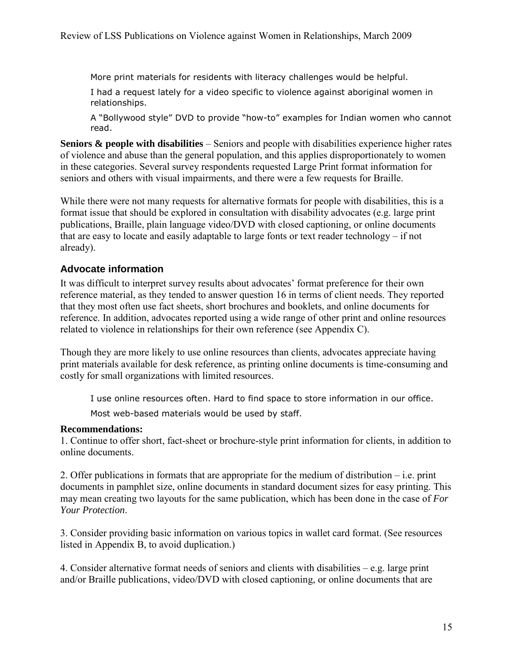More print materials for residents with literacy challenges would be helpful.

I had a request lately for a video specific to violence against aboriginal women in relationships.

A "Bollywood style" DVD to provide "how-to" examples for Indian women who cannot read.

**Seniors & people with disabilities** – Seniors and people with disabilities experience higher rates of violence and abuse than the general population, and this applies disproportionately to women in these categories. Several survey respondents requested Large Print format information for seniors and others with visual impairments, and there were a few requests for Braille.

While there were not many requests for alternative formats for people with disabilities, this is a format issue that should be explored in consultation with disability advocates (e.g. large print publications, Braille, plain language video/DVD with closed captioning, or online documents that are easy to locate and easily adaptable to large fonts or text reader technology – if not already).

### **Advocate information**

It was difficult to interpret survey results about advocates' format preference for their own reference material, as they tended to answer question 16 in terms of client needs. They reported that they most often use fact sheets, short brochures and booklets, and online documents for reference. In addition, advocates reported using a wide range of other print and online resources related to violence in relationships for their own reference (see Appendix C).

Though they are more likely to use online resources than clients, advocates appreciate having print materials available for desk reference, as printing online documents is time-consuming and costly for small organizations with limited resources.

I use online resources often. Hard to find space to store information in our office.

Most web-based materials would be used by staff.

#### **Recommendations:**

1. Continue to offer short, fact-sheet or brochure-style print information for clients, in addition to online documents.

2. Offer publications in formats that are appropriate for the medium of distribution – i.e. print documents in pamphlet size, online documents in standard document sizes for easy printing. This may mean creating two layouts for the same publication, which has been done in the case of *For Your Protection*.

3. Consider providing basic information on various topics in wallet card format. (See resources listed in Appendix B, to avoid duplication.)

4. Consider alternative format needs of seniors and clients with disabilities – e.g. large print and/or Braille publications, video/DVD with closed captioning, or online documents that are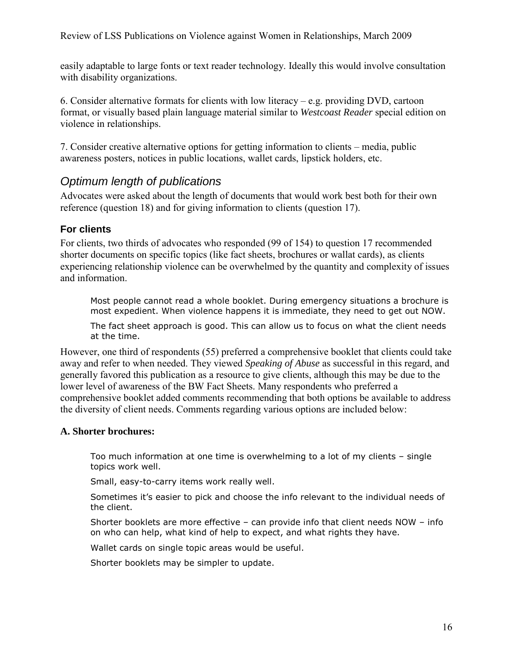easily adaptable to large fonts or text reader technology. Ideally this would involve consultation with disability organizations.

6. Consider alternative formats for clients with low literacy – e.g. providing DVD, cartoon format, or visually based plain language material similar to *Westcoast Reader* special edition on violence in relationships.

7. Consider creative alternative options for getting information to clients – media, public awareness posters, notices in public locations, wallet cards, lipstick holders, etc.

# *Optimum length of publications*

Advocates were asked about the length of documents that would work best both for their own reference (question 18) and for giving information to clients (question 17).

### **For clients**

For clients, two thirds of advocates who responded (99 of 154) to question 17 recommended shorter documents on specific topics (like fact sheets, brochures or wallat cards), as clients experiencing relationship violence can be overwhelmed by the quantity and complexity of issues and information.

Most people cannot read a whole booklet. During emergency situations a brochure is most expedient. When violence happens it is immediate, they need to get out NOW.

The fact sheet approach is good. This can allow us to focus on what the client needs at the time.

However, one third of respondents (55) preferred a comprehensive booklet that clients could take away and refer to when needed. They viewed *Speaking of Abuse* as successful in this regard, and generally favored this publication as a resource to give clients, although this may be due to the lower level of awareness of the BW Fact Sheets. Many respondents who preferred a comprehensive booklet added comments recommending that both options be available to address the diversity of client needs. Comments regarding various options are included below:

#### **A. Shorter brochures:**

Too much information at one time is overwhelming to a lot of my clients – single topics work well.

Small, easy-to-carry items work really well.

Sometimes it's easier to pick and choose the info relevant to the individual needs of the client.

Shorter booklets are more effective – can provide info that client needs NOW – info on who can help, what kind of help to expect, and what rights they have.

Wallet cards on single topic areas would be useful.

Shorter booklets may be simpler to update.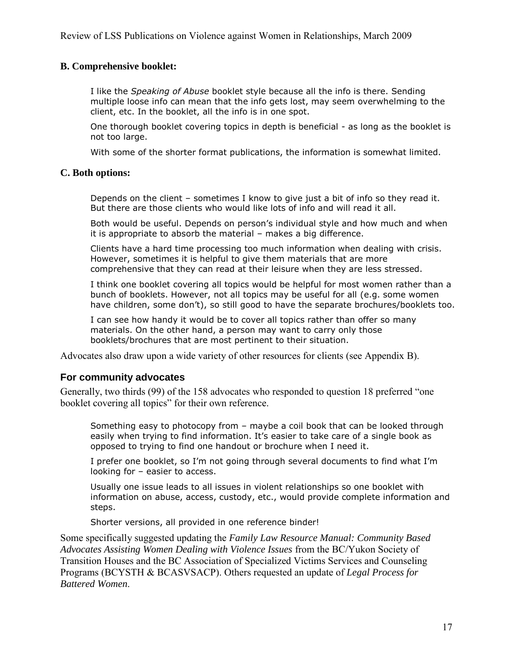#### **B. Comprehensive booklet:**

I like the *Speaking of Abuse* booklet style because all the info is there. Sending multiple loose info can mean that the info gets lost, may seem overwhelming to the client, etc. In the booklet, all the info is in one spot.

One thorough booklet covering topics in depth is beneficial - as long as the booklet is not too large.

With some of the shorter format publications, the information is somewhat limited.

#### **C. Both options:**

Depends on the client – sometimes I know to give just a bit of info so they read it. But there are those clients who would like lots of info and will read it all.

Both would be useful. Depends on person's individual style and how much and when it is appropriate to absorb the material – makes a big difference.

Clients have a hard time processing too much information when dealing with crisis. However, sometimes it is helpful to give them materials that are more comprehensive that they can read at their leisure when they are less stressed.

I think one booklet covering all topics would be helpful for most women rather than a bunch of booklets. However, not all topics may be useful for all (e.g. some women have children, some don't), so still good to have the separate brochures/booklets too.

I can see how handy it would be to cover all topics rather than offer so many materials. On the other hand, a person may want to carry only those booklets/brochures that are most pertinent to their situation.

Advocates also draw upon a wide variety of other resources for clients (see Appendix B).

#### **For community advocates**

Generally, two thirds (99) of the 158 advocates who responded to question 18 preferred "one booklet covering all topics" for their own reference.

Something easy to photocopy from – maybe a coil book that can be looked through easily when trying to find information. It's easier to take care of a single book as opposed to trying to find one handout or brochure when I need it.

I prefer one booklet, so I'm not going through several documents to find what I'm looking for – easier to access.

Usually one issue leads to all issues in violent relationships so one booklet with information on abuse, access, custody, etc., would provide complete information and steps.

Shorter versions, all provided in one reference binder!

Some specifically suggested updating the *Family Law Resource Manual: Community Based Advocates Assisting Women Dealing with Violence Issues* from the BC/Yukon Society of Transition Houses and the BC Association of Specialized Victims Services and Counseling Programs (BCYSTH & BCASVSACP). Others requested an update of *Legal Process for Battered Women*.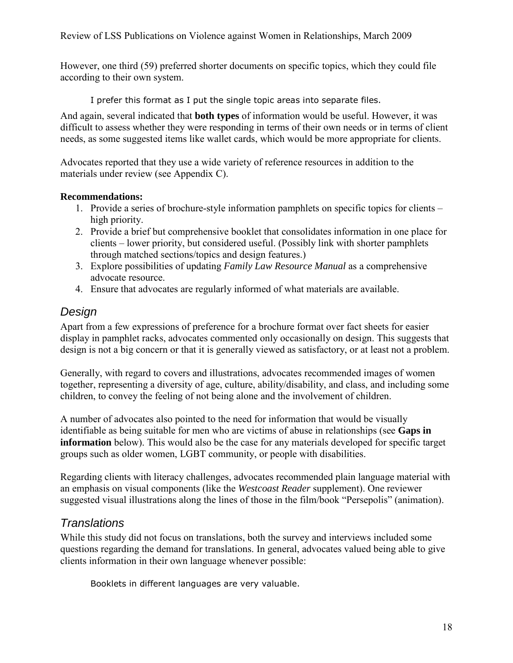However, one third (59) preferred shorter documents on specific topics, which they could file according to their own system.

I prefer this format as I put the single topic areas into separate files.

And again, several indicated that **both types** of information would be useful. However, it was difficult to assess whether they were responding in terms of their own needs or in terms of client needs, as some suggested items like wallet cards, which would be more appropriate for clients.

Advocates reported that they use a wide variety of reference resources in addition to the materials under review (see Appendix C).

#### **Recommendations:**

- 1. Provide a series of brochure-style information pamphlets on specific topics for clients high priority.
- 2. Provide a brief but comprehensive booklet that consolidates information in one place for clients – lower priority, but considered useful. (Possibly link with shorter pamphlets through matched sections/topics and design features.)
- 3. Explore possibilities of updating *Family Law Resource Manual* as a comprehensive advocate resource.
- 4. Ensure that advocates are regularly informed of what materials are available.

# *Design*

Apart from a few expressions of preference for a brochure format over fact sheets for easier display in pamphlet racks, advocates commented only occasionally on design. This suggests that design is not a big concern or that it is generally viewed as satisfactory, or at least not a problem.

Generally, with regard to covers and illustrations, advocates recommended images of women together, representing a diversity of age, culture, ability/disability, and class, and including some children, to convey the feeling of not being alone and the involvement of children.

A number of advocates also pointed to the need for information that would be visually identifiable as being suitable for men who are victims of abuse in relationships (see **Gaps in information** below). This would also be the case for any materials developed for specific target groups such as older women, LGBT community, or people with disabilities.

Regarding clients with literacy challenges, advocates recommended plain language material with an emphasis on visual components (like the *Westcoast Reader* supplement). One reviewer suggested visual illustrations along the lines of those in the film/book "Persepolis" (animation).

# *Translations*

While this study did not focus on translations, both the survey and interviews included some questions regarding the demand for translations. In general, advocates valued being able to give clients information in their own language whenever possible:

Booklets in different languages are very valuable.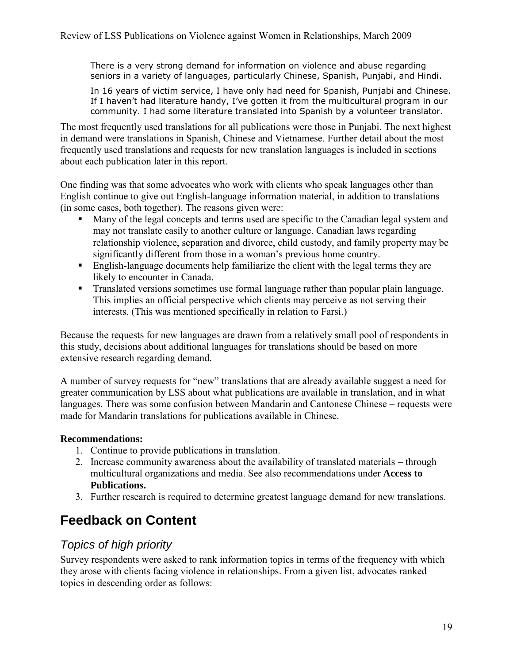There is a very strong demand for information on violence and abuse regarding seniors in a variety of languages, particularly Chinese, Spanish, Punjabi, and Hindi.

In 16 years of victim service, I have only had need for Spanish, Punjabi and Chinese. If I haven't had literature handy, I've gotten it from the multicultural program in our community. I had some literature translated into Spanish by a volunteer translator.

The most frequently used translations for all publications were those in Punjabi. The next highest in demand were translations in Spanish, Chinese and Vietnamese. Further detail about the most frequently used translations and requests for new translation languages is included in sections about each publication later in this report.

One finding was that some advocates who work with clients who speak languages other than English continue to give out English-language information material, in addition to translations (in some cases, both together). The reasons given were:

- Many of the legal concepts and terms used are specific to the Canadian legal system and may not translate easily to another culture or language. Canadian laws regarding relationship violence, separation and divorce, child custody, and family property may be significantly different from those in a woman's previous home country.
- English-language documents help familiarize the client with the legal terms they are likely to encounter in Canada.
- **Translated versions sometimes use formal language rather than popular plain language.** This implies an official perspective which clients may perceive as not serving their interests. (This was mentioned specifically in relation to Farsi.)

Because the requests for new languages are drawn from a relatively small pool of respondents in this study, decisions about additional languages for translations should be based on more extensive research regarding demand.

A number of survey requests for "new" translations that are already available suggest a need for greater communication by LSS about what publications are available in translation, and in what languages. There was some confusion between Mandarin and Cantonese Chinese – requests were made for Mandarin translations for publications available in Chinese.

## **Recommendations:**

- 1. Continue to provide publications in translation.
- 2. Increase community awareness about the availability of translated materials through multicultural organizations and media. See also recommendations under **Access to Publications.**
- 3. Further research is required to determine greatest language demand for new translations.

# **Feedback on Content**

# *Topics of high priority*

Survey respondents were asked to rank information topics in terms of the frequency with which they arose with clients facing violence in relationships. From a given list, advocates ranked topics in descending order as follows: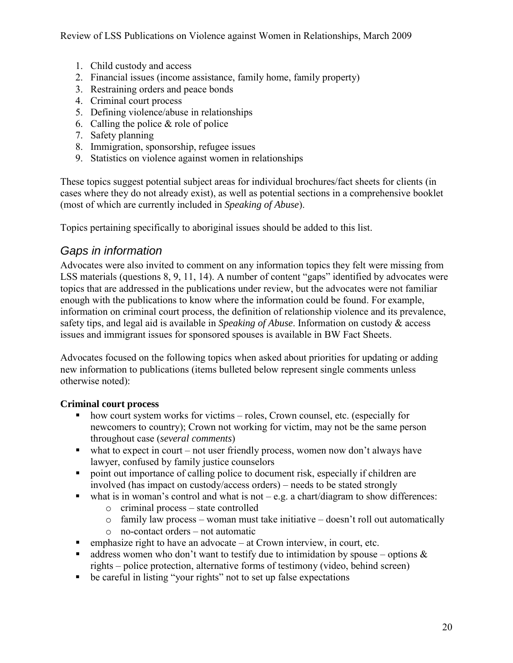- 1. Child custody and access
- 2. Financial issues (income assistance, family home, family property)
- 3. Restraining orders and peace bonds
- 4. Criminal court process
- 5. Defining violence/abuse in relationships
- 6. Calling the police & role of police
- 7. Safety planning
- 8. Immigration, sponsorship, refugee issues
- 9. Statistics on violence against women in relationships

These topics suggest potential subject areas for individual brochures/fact sheets for clients (in cases where they do not already exist), as well as potential sections in a comprehensive booklet (most of which are currently included in *Speaking of Abuse*).

Topics pertaining specifically to aboriginal issues should be added to this list.

# *Gaps in information*

Advocates were also invited to comment on any information topics they felt were missing from LSS materials (questions 8, 9, 11, 14). A number of content "gaps" identified by advocates were topics that are addressed in the publications under review, but the advocates were not familiar enough with the publications to know where the information could be found. For example, information on criminal court process, the definition of relationship violence and its prevalence, safety tips, and legal aid is available in *Speaking of Abuse*. Information on custody & access issues and immigrant issues for sponsored spouses is available in BW Fact Sheets.

Advocates focused on the following topics when asked about priorities for updating or adding new information to publications (items bulleted below represent single comments unless otherwise noted):

### **Criminal court process**

- how court system works for victims roles, Crown counsel, etc. (especially for newcomers to country); Crown not working for victim, may not be the same person throughout case (*several comments*)
- $\blacksquare$  what to expect in court not user friendly process, women now don't always have lawyer, confused by family justice counselors
- point out importance of calling police to document risk, especially if children are involved (has impact on custody/access orders) – needs to be stated strongly
- what is in woman's control and what is not  $-e.g.$  a chart/diagram to show differences:
	- o criminal process state controlled
	- $\circ$  family law process woman must take initiative doesn't roll out automatically
	- o no-contact orders not automatic
- $\blacksquare$  emphasize right to have an advocate at Crown interview, in court, etc.
- address women who don't want to testify due to intimidation by spouse options  $\&$ rights – police protection, alternative forms of testimony (video, behind screen)
- be careful in listing "your rights" not to set up false expectations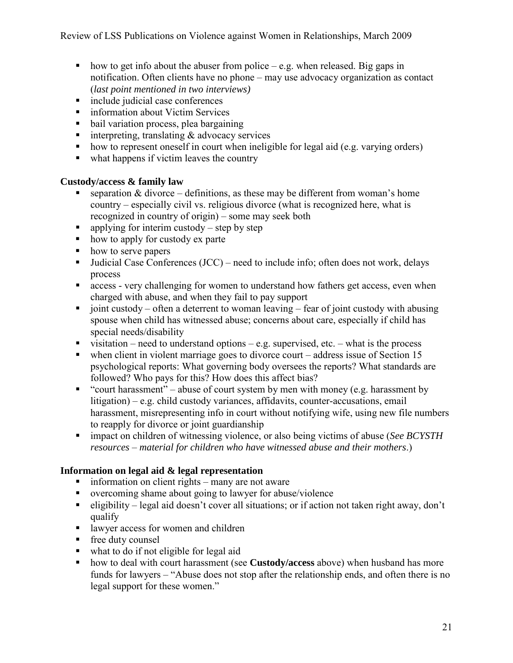- how to get info about the abuser from police e.g. when released. Big gaps in notification. Often clients have no phone – may use advocacy organization as contact (*last point mentioned in two interviews)*
- include judicial case conferences
- **information about Victim Services**
- bail variation process, plea bargaining
- $\blacksquare$  interpreting, translating & advocacy services
- how to represent oneself in court when ineligible for legal aid (e.g. varying orders)
- $\blacksquare$  what happens if victim leaves the country

### **Custody/access & family law**

- separation  $&$  divorce definitions, as these may be different from woman's home country – especially civil vs. religious divorce (what is recognized here, what is recognized in country of origin) – some may seek both
- q applying for interim custody step by step
- how to apply for custody ex parte
- how to serve papers
- **Judicial Case Conferences (JCC)** need to include info; often does not work, delays process
- access very challenging for women to understand how fathers get access, even when charged with abuse, and when they fail to pay support
- ioint custody often a deterrent to woman leaving fear of joint custody with abusing spouse when child has witnessed abuse; concerns about care, especially if child has special needs/disability
- visitation need to understand options e.g. supervised, etc. what is the process
- $\blacksquare$  when client in violent marriage goes to divorce court address issue of Section 15 psychological reports: What governing body oversees the reports? What standards are followed? Who pays for this? How does this affect bias?
- "court harassment" abuse of court system by men with money (e.g. harassment by litigation) – e.g. child custody variances, affidavits, counter-accusations, email harassment, misrepresenting info in court without notifying wife, using new file numbers to reapply for divorce or joint guardianship
- impact on children of witnessing violence, or also being victims of abuse (*See BCYSTH resources – material for children who have witnessed abuse and their mothers*.)

## **Information on legal aid & legal representation**

- information on client rights many are not aware
- overcoming shame about going to lawyer for abuse/violence
- eligibility legal aid doesn't cover all situations; or if action not taken right away, don't qualify
- **I** lawyer access for women and children
- free duty counsel
- what to do if not eligible for legal aid
- how to deal with court harassment (see **Custody/access** above) when husband has more funds for lawyers – "Abuse does not stop after the relationship ends, and often there is no legal support for these women."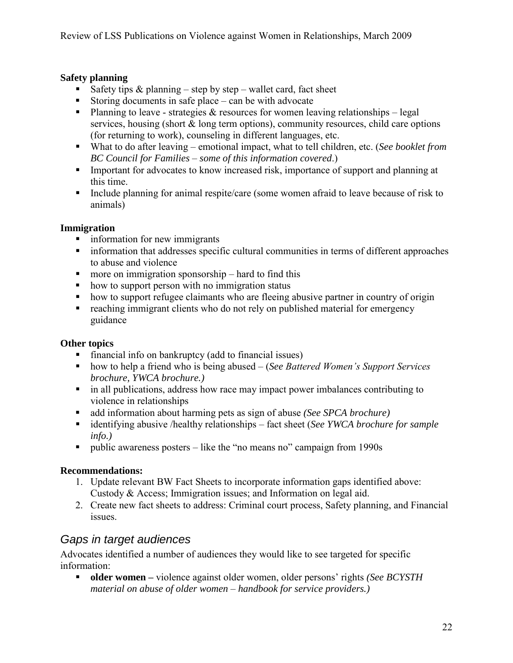## **Safety planning**

- Safety tips  $\&$  planning step by step wallet card, fact sheet
- Storing documents in safe place can be with advocate
- Planning to leave strategies  $\&$  resources for women leaving relationships legal services, housing (short  $\&$  long term options), community resources, child care options (for returning to work), counseling in different languages, etc.
- What to do after leaving emotional impact, what to tell children, etc. (*See booklet from BC Council for Families – some of this information covered*.)
- **IMPORTANT** Important for advocates to know increased risk, importance of support and planning at this time.
- Include planning for animal respite/care (some women afraid to leave because of risk to animals)

### **Immigration**

- **i** information for new immigrants
- information that addresses specific cultural communities in terms of different approaches to abuse and violence
- $\blacksquare$  more on immigration sponsorship hard to find this
- how to support person with no immigration status
- how to support refugee claimants who are fleeing abusive partner in country of origin
- **•** reaching immigrant clients who do not rely on published material for emergency guidance

## **Other topics**

- financial info on bankruptcy (add to financial issues)
- how to help a friend who is being abused (*See Battered Women's Support Services brochure, YWCA brochure.)*
- in all publications, address how race may impact power imbalances contributing to violence in relationships
- add information about harming pets as sign of abuse *(See SPCA brochure)*
- identifying abusive /healthy relationships fact sheet (*See YWCA brochure for sample info.)*
- public awareness posters like the "no means no" campaign from 1990s

### **Recommendations:**

- 1. Update relevant BW Fact Sheets to incorporate information gaps identified above: Custody & Access; Immigration issues; and Information on legal aid.
- 2. Create new fact sheets to address: Criminal court process, Safety planning, and Financial issues.

# *Gaps in target audiences*

Advocates identified a number of audiences they would like to see targeted for specific information:

 **older women –** violence against older women, older persons' rights *(See BCYSTH material on abuse of older women – handbook for service providers.)*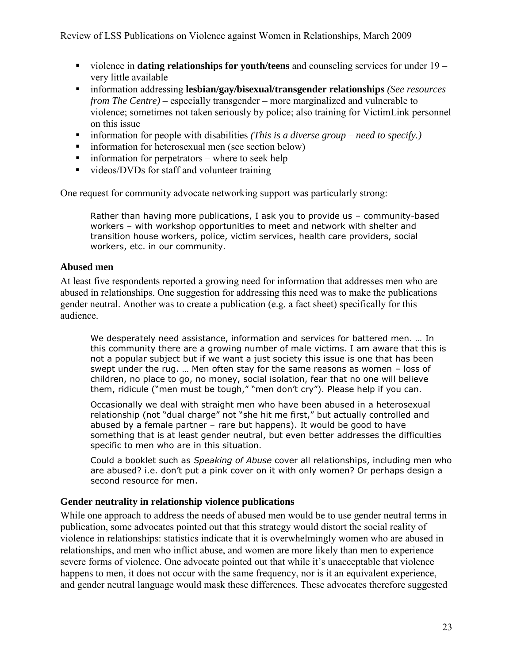- violence in **dating relationships for youth/teens** and counseling services for under 19 very little available
- information addressing **lesbian/gay/bisexual/transgender relationships** *(See resources from The Centre)* – especially transgender – more marginalized and vulnerable to violence; sometimes not taken seriously by police; also training for VictimLink personnel on this issue
- information for people with disabilities *(This is a diverse group need to specify.)*
- **information for heterosexual men (see section below)**
- $\blacksquare$  information for perpetrators where to seek help
- videos/DVDs for staff and volunteer training

One request for community advocate networking support was particularly strong:

Rather than having more publications, I ask you to provide us – community-based workers – with workshop opportunities to meet and network with shelter and transition house workers, police, victim services, health care providers, social workers, etc. in our community.

#### **Abused men**

At least five respondents reported a growing need for information that addresses men who are abused in relationships. One suggestion for addressing this need was to make the publications gender neutral. Another was to create a publication (e.g. a fact sheet) specifically for this audience.

We desperately need assistance, information and services for battered men. … In this community there are a growing number of male victims. I am aware that this is not a popular subject but if we want a just society this issue is one that has been swept under the rug. … Men often stay for the same reasons as women – loss of children, no place to go, no money, social isolation, fear that no one will believe them, ridicule ("men must be tough," "men don't cry"). Please help if you can.

Occasionally we deal with straight men who have been abused in a heterosexual relationship (not "dual charge" not "she hit me first," but actually controlled and abused by a female partner – rare but happens). It would be good to have something that is at least gender neutral, but even better addresses the difficulties specific to men who are in this situation.

Could a booklet such as *Speaking of Abuse* cover all relationships, including men who are abused? i.e. don't put a pink cover on it with only women? Or perhaps design a second resource for men.

### **Gender neutrality in relationship violence publications**

While one approach to address the needs of abused men would be to use gender neutral terms in publication, some advocates pointed out that this strategy would distort the social reality of violence in relationships: statistics indicate that it is overwhelmingly women who are abused in relationships, and men who inflict abuse, and women are more likely than men to experience severe forms of violence. One advocate pointed out that while it's unacceptable that violence happens to men, it does not occur with the same frequency, nor is it an equivalent experience, and gender neutral language would mask these differences. These advocates therefore suggested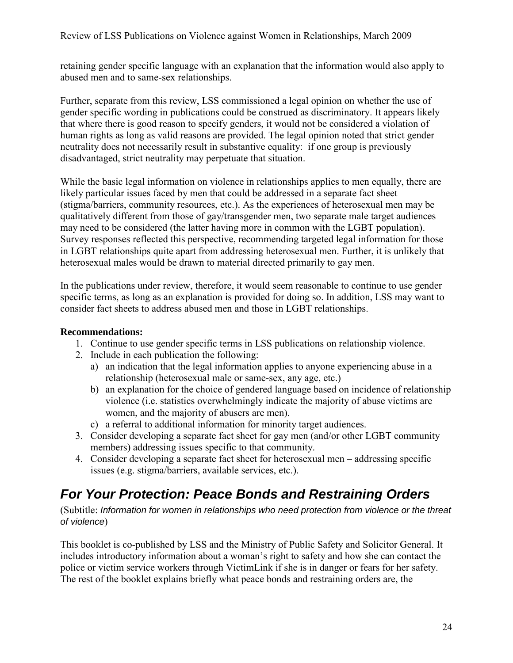retaining gender specific language with an explanation that the information would also apply to abused men and to same-sex relationships.

Further, separate from this review, LSS commissioned a legal opinion on whether the use of gender specific wording in publications could be construed as discriminatory. It appears likely that where there is good reason to specify genders, it would not be considered a violation of human rights as long as valid reasons are provided. The legal opinion noted that strict gender neutrality does not necessarily result in substantive equality: if one group is previously disadvantaged, strict neutrality may perpetuate that situation.

While the basic legal information on violence in relationships applies to men equally, there are likely particular issues faced by men that could be addressed in a separate fact sheet (stigma/barriers, community resources, etc.). As the experiences of heterosexual men may be qualitatively different from those of gay/transgender men, two separate male target audiences may need to be considered (the latter having more in common with the LGBT population). Survey responses reflected this perspective, recommending targeted legal information for those in LGBT relationships quite apart from addressing heterosexual men. Further, it is unlikely that heterosexual males would be drawn to material directed primarily to gay men.

In the publications under review, therefore, it would seem reasonable to continue to use gender specific terms, as long as an explanation is provided for doing so. In addition, LSS may want to consider fact sheets to address abused men and those in LGBT relationships.

#### **Recommendations:**

- 1. Continue to use gender specific terms in LSS publications on relationship violence.
- 2. Include in each publication the following:
	- a) an indication that the legal information applies to anyone experiencing abuse in a relationship (heterosexual male or same-sex, any age, etc.)
	- b) an explanation for the choice of gendered language based on incidence of relationship violence (i.e. statistics overwhelmingly indicate the majority of abuse victims are women, and the majority of abusers are men).
	- c) a referral to additional information for minority target audiences.
- 3. Consider developing a separate fact sheet for gay men (and/or other LGBT community members) addressing issues specific to that community.
- 4. Consider developing a separate fact sheet for heterosexual men addressing specific issues (e.g. stigma/barriers, available services, etc.).

# *For Your Protection: Peace Bonds and Restraining Orders*

(Subtitle: *Information for women in relationships who need protection from violence or the threat of violence*)

This booklet is co-published by LSS and the Ministry of Public Safety and Solicitor General. It includes introductory information about a woman's right to safety and how she can contact the police or victim service workers through VictimLink if she is in danger or fears for her safety. The rest of the booklet explains briefly what peace bonds and restraining orders are, the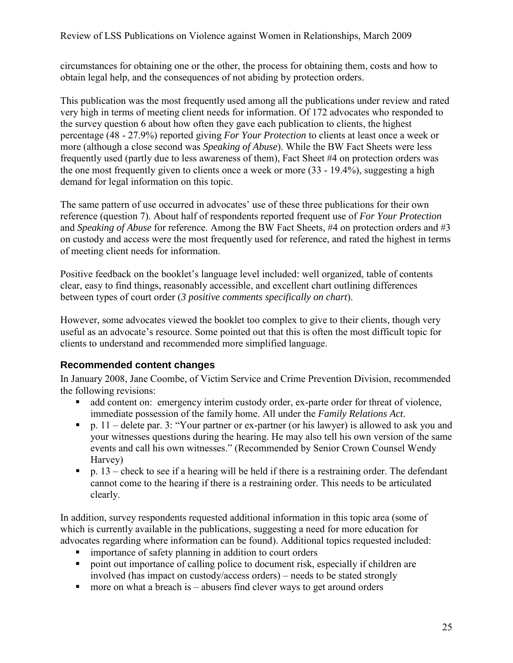circumstances for obtaining one or the other, the process for obtaining them, costs and how to obtain legal help, and the consequences of not abiding by protection orders.

This publication was the most frequently used among all the publications under review and rated very high in terms of meeting client needs for information. Of 172 advocates who responded to the survey question 6 about how often they gave each publication to clients, the highest percentage (48 - 27.9%) reported giving *For Your Protection* to clients at least once a week or more (although a close second was *Speaking of Abuse*). While the BW Fact Sheets were less frequently used (partly due to less awareness of them), Fact Sheet #4 on protection orders was the one most frequently given to clients once a week or more (33 - 19.4%), suggesting a high demand for legal information on this topic.

The same pattern of use occurred in advocates' use of these three publications for their own reference (question 7). About half of respondents reported frequent use of *For Your Protection* and *Speaking of Abuse* for reference. Among the BW Fact Sheets, #4 on protection orders and #3 on custody and access were the most frequently used for reference, and rated the highest in terms of meeting client needs for information.

Positive feedback on the booklet's language level included: well organized, table of contents clear, easy to find things, reasonably accessible, and excellent chart outlining differences between types of court order (*3 positive comments specifically on chart*).

However, some advocates viewed the booklet too complex to give to their clients, though very useful as an advocate's resource. Some pointed out that this is often the most difficult topic for clients to understand and recommended more simplified language.

## **Recommended content changes**

In January 2008, Jane Coombe, of Victim Service and Crime Prevention Division, recommended the following revisions:

- add content on: emergency interim custody order, ex-parte order for threat of violence, immediate possession of the family home. All under the *Family Relations Act*.
- p.  $11$  delete par. 3: "Your partner or ex-partner (or his lawyer) is allowed to ask you and your witnesses questions during the hearing. He may also tell his own version of the same events and call his own witnesses." (Recommended by Senior Crown Counsel Wendy Harvey)
- p.  $13$  check to see if a hearing will be held if there is a restraining order. The defendant cannot come to the hearing if there is a restraining order. This needs to be articulated clearly.

In addition, survey respondents requested additional information in this topic area (some of which is currently available in the publications, suggesting a need for more education for advocates regarding where information can be found). Additional topics requested included:

- importance of safety planning in addition to court orders
- point out importance of calling police to document risk, especially if children are involved (has impact on custody/access orders) – needs to be stated strongly
- $\blacksquare$  more on what a breach is abusers find clever ways to get around orders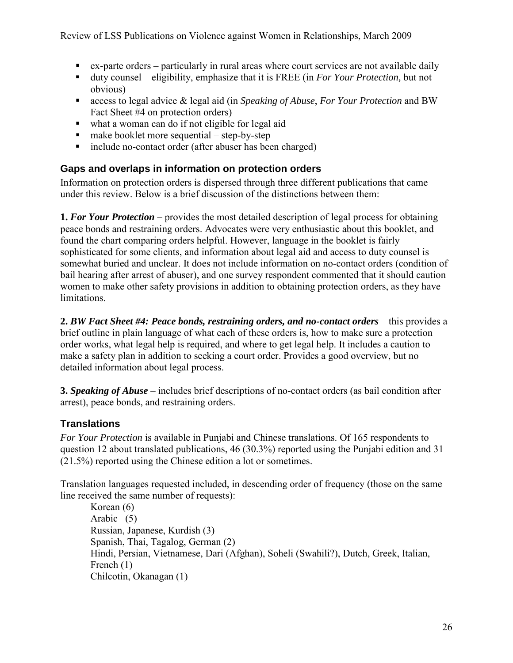- ex-parte orders particularly in rural areas where court services are not available daily
- duty counsel eligibility, emphasize that it is FREE (in *For Your Protection,* but not obvious)
- access to legal advice & legal aid (in *Speaking of Abuse*, *For Your Protection* and BW Fact Sheet #4 on protection orders)
- what a woman can do if not eligible for legal aid
- $\blacksquare$  make booklet more sequential step-by-step
- include no-contact order (after abuser has been charged)

### **Gaps and overlaps in information on protection orders**

Information on protection orders is dispersed through three different publications that came under this review. Below is a brief discussion of the distinctions between them:

**1.** *For Your Protection* – provides the most detailed description of legal process for obtaining peace bonds and restraining orders. Advocates were very enthusiastic about this booklet, and found the chart comparing orders helpful. However, language in the booklet is fairly sophisticated for some clients, and information about legal aid and access to duty counsel is somewhat buried and unclear. It does not include information on no-contact orders (condition of bail hearing after arrest of abuser), and one survey respondent commented that it should caution women to make other safety provisions in addition to obtaining protection orders, as they have limitations.

**2.** *BW Fact Sheet #4: Peace bonds, restraining orders, and no-contact orders* – this provides a brief outline in plain language of what each of these orders is, how to make sure a protection order works, what legal help is required, and where to get legal help. It includes a caution to make a safety plan in addition to seeking a court order. Provides a good overview, but no detailed information about legal process.

**3.** *Speaking of Abuse* – includes brief descriptions of no-contact orders (as bail condition after arrest), peace bonds, and restraining orders.

## **Translations**

*For Your Protection* is available in Punjabi and Chinese translations. Of 165 respondents to question 12 about translated publications, 46 (30.3%) reported using the Punjabi edition and 31 (21.5%) reported using the Chinese edition a lot or sometimes.

Translation languages requested included, in descending order of frequency (those on the same line received the same number of requests):

Korean (6) Arabic (5) Russian, Japanese, Kurdish (3) Spanish, Thai, Tagalog, German (2) Hindi, Persian, Vietnamese, Dari (Afghan), Soheli (Swahili?), Dutch, Greek, Italian, French (1) Chilcotin, Okanagan (1)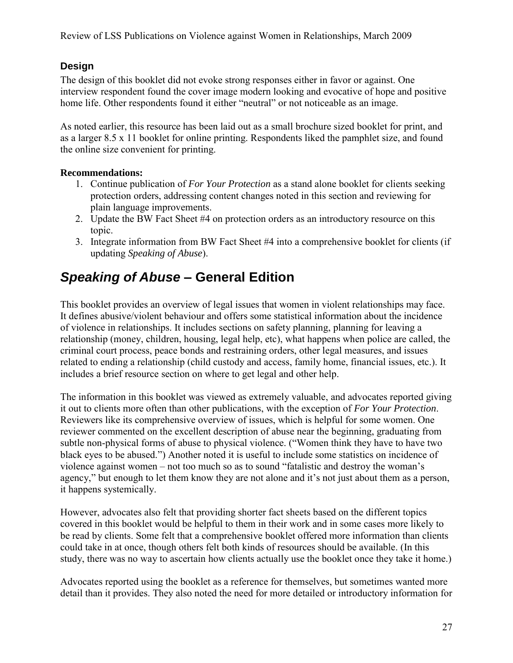# **Design**

The design of this booklet did not evoke strong responses either in favor or against. One interview respondent found the cover image modern looking and evocative of hope and positive home life. Other respondents found it either "neutral" or not noticeable as an image.

As noted earlier, this resource has been laid out as a small brochure sized booklet for print, and as a larger 8.5 x 11 booklet for online printing. Respondents liked the pamphlet size, and found the online size convenient for printing.

## **Recommendations:**

- 1. Continue publication of *For Your Protection* as a stand alone booklet for clients seeking protection orders, addressing content changes noted in this section and reviewing for plain language improvements.
- 2. Update the BW Fact Sheet #4 on protection orders as an introductory resource on this topic.
- 3. Integrate information from BW Fact Sheet #4 into a comprehensive booklet for clients (if updating *Speaking of Abuse*).

# *Speaking of Abuse* **– General Edition**

This booklet provides an overview of legal issues that women in violent relationships may face. It defines abusive/violent behaviour and offers some statistical information about the incidence of violence in relationships. It includes sections on safety planning, planning for leaving a relationship (money, children, housing, legal help, etc), what happens when police are called, the criminal court process, peace bonds and restraining orders, other legal measures, and issues related to ending a relationship (child custody and access, family home, financial issues, etc.). It includes a brief resource section on where to get legal and other help.

The information in this booklet was viewed as extremely valuable, and advocates reported giving it out to clients more often than other publications, with the exception of *For Your Protection*. Reviewers like its comprehensive overview of issues, which is helpful for some women. One reviewer commented on the excellent description of abuse near the beginning, graduating from subtle non-physical forms of abuse to physical violence. ("Women think they have to have two black eyes to be abused.") Another noted it is useful to include some statistics on incidence of violence against women – not too much so as to sound "fatalistic and destroy the woman's agency," but enough to let them know they are not alone and it's not just about them as a person, it happens systemically.

However, advocates also felt that providing shorter fact sheets based on the different topics covered in this booklet would be helpful to them in their work and in some cases more likely to be read by clients. Some felt that a comprehensive booklet offered more information than clients could take in at once, though others felt both kinds of resources should be available. (In this study, there was no way to ascertain how clients actually use the booklet once they take it home.)

Advocates reported using the booklet as a reference for themselves, but sometimes wanted more detail than it provides. They also noted the need for more detailed or introductory information for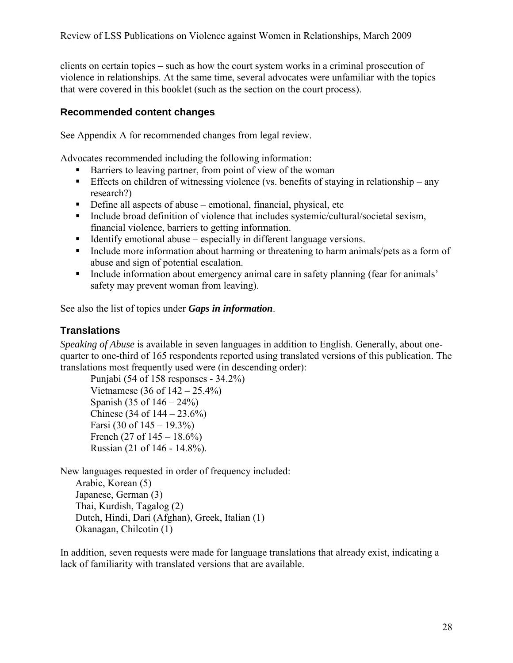clients on certain topics – such as how the court system works in a criminal prosecution of violence in relationships. At the same time, several advocates were unfamiliar with the topics that were covered in this booklet (such as the section on the court process).

### **Recommended content changes**

See Appendix A for recommended changes from legal review.

Advocates recommended including the following information:

- Barriers to leaving partner, from point of view of the woman
- Effects on children of witnessing violence (vs. benefits of staying in relationship any research?)
- Define all aspects of abuse emotional, financial, physical, etc
- Include broad definition of violence that includes systemic/cultural/societal sexism, financial violence, barriers to getting information.
- Identify emotional abuse especially in different language versions.
- Include more information about harming or threatening to harm animals/pets as a form of abuse and sign of potential escalation.
- Include information about emergency animal care in safety planning (fear for animals' safety may prevent woman from leaving).

See also the list of topics under *Gaps in information*.

# **Translations**

*Speaking of Abuse* is available in seven languages in addition to English. Generally, about onequarter to one-third of 165 respondents reported using translated versions of this publication. The translations most frequently used were (in descending order):

Punjabi (54 of 158 responses - 34.2%) Vietnamese  $(36 \text{ of } 142 - 25.4\%)$ Spanish (35 of  $146 - 24\%$ ) Chinese (34 of  $144 - 23.6\%$ ) Farsi  $(30 \text{ of } 145 - 19.3\%)$ French (27 of  $145 - 18.6\%$ ) Russian (21 of 146 - 14.8%).

New languages requested in order of frequency included: Arabic, Korean (5) Japanese, German (3) Thai, Kurdish, Tagalog (2) Dutch, Hindi, Dari (Afghan), Greek, Italian (1) Okanagan, Chilcotin (1)

In addition, seven requests were made for language translations that already exist, indicating a lack of familiarity with translated versions that are available.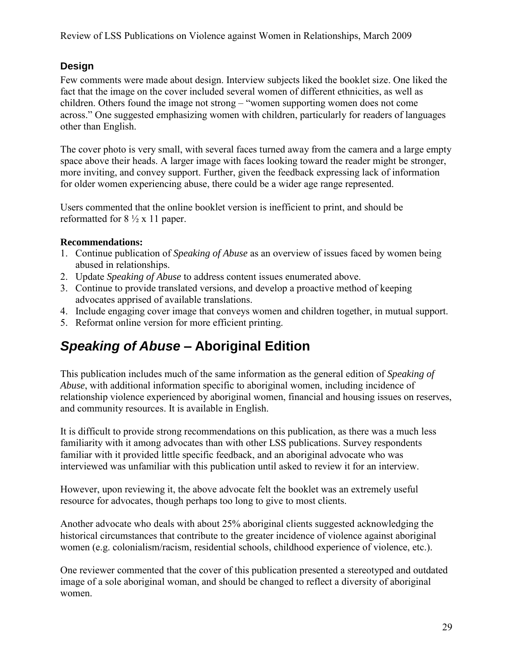# **Design**

Few comments were made about design. Interview subjects liked the booklet size. One liked the fact that the image on the cover included several women of different ethnicities, as well as children. Others found the image not strong – "women supporting women does not come across." One suggested emphasizing women with children, particularly for readers of languages other than English.

The cover photo is very small, with several faces turned away from the camera and a large empty space above their heads. A larger image with faces looking toward the reader might be stronger, more inviting, and convey support. Further, given the feedback expressing lack of information for older women experiencing abuse, there could be a wider age range represented.

Users commented that the online booklet version is inefficient to print, and should be reformatted for  $8\frac{1}{2}$  x 11 paper.

### **Recommendations:**

- 1. Continue publication of *Speaking of Abuse* as an overview of issues faced by women being abused in relationships.
- 2. Update *Speaking of Abuse* to address content issues enumerated above.
- 3. Continue to provide translated versions, and develop a proactive method of keeping advocates apprised of available translations.
- 4. Include engaging cover image that conveys women and children together, in mutual support.
- 5. Reformat online version for more efficient printing.

# *Speaking of Abuse* **– Aboriginal Edition**

This publication includes much of the same information as the general edition of *Speaking of Abuse*, with additional information specific to aboriginal women, including incidence of relationship violence experienced by aboriginal women, financial and housing issues on reserves, and community resources. It is available in English.

It is difficult to provide strong recommendations on this publication, as there was a much less familiarity with it among advocates than with other LSS publications. Survey respondents familiar with it provided little specific feedback, and an aboriginal advocate who was interviewed was unfamiliar with this publication until asked to review it for an interview.

However, upon reviewing it, the above advocate felt the booklet was an extremely useful resource for advocates, though perhaps too long to give to most clients.

Another advocate who deals with about 25% aboriginal clients suggested acknowledging the historical circumstances that contribute to the greater incidence of violence against aboriginal women (e.g. colonialism/racism, residential schools, childhood experience of violence, etc.).

One reviewer commented that the cover of this publication presented a stereotyped and outdated image of a sole aboriginal woman, and should be changed to reflect a diversity of aboriginal women.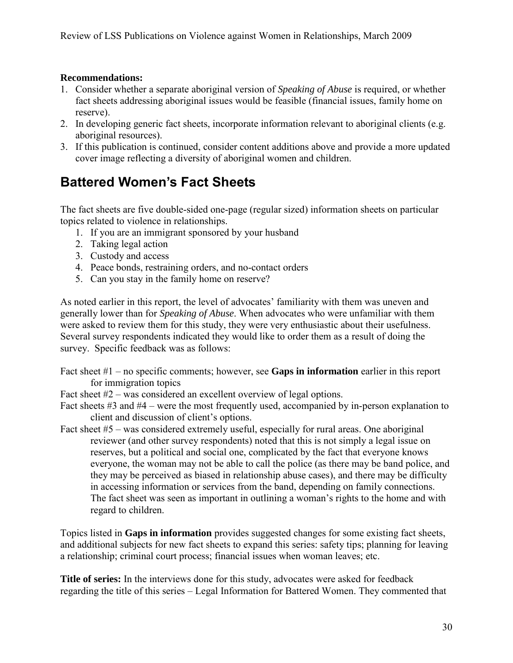### **Recommendations:**

- 1. Consider whether a separate aboriginal version of *Speaking of Abuse* is required, or whether fact sheets addressing aboriginal issues would be feasible (financial issues, family home on reserve).
- 2. In developing generic fact sheets, incorporate information relevant to aboriginal clients (e.g. aboriginal resources).
- 3. If this publication is continued, consider content additions above and provide a more updated cover image reflecting a diversity of aboriginal women and children.

# **Battered Women's Fact Sheets**

The fact sheets are five double-sided one-page (regular sized) information sheets on particular topics related to violence in relationships.

- 1. If you are an immigrant sponsored by your husband
- 2. Taking legal action
- 3. Custody and access
- 4. Peace bonds, restraining orders, and no-contact orders
- 5. Can you stay in the family home on reserve?

As noted earlier in this report, the level of advocates' familiarity with them was uneven and generally lower than for *Speaking of Abuse*. When advocates who were unfamiliar with them were asked to review them for this study, they were very enthusiastic about their usefulness. Several survey respondents indicated they would like to order them as a result of doing the survey. Specific feedback was as follows:

- Fact sheet #1 no specific comments; however, see **Gaps in information** earlier in this report for immigration topics
- Fact sheet #2 was considered an excellent overview of legal options.

Fact sheets #3 and #4 – were the most frequently used, accompanied by in-person explanation to client and discussion of client's options.

Fact sheet #5 – was considered extremely useful, especially for rural areas. One aboriginal reviewer (and other survey respondents) noted that this is not simply a legal issue on reserves, but a political and social one, complicated by the fact that everyone knows everyone, the woman may not be able to call the police (as there may be band police, and they may be perceived as biased in relationship abuse cases), and there may be difficulty in accessing information or services from the band, depending on family connections. The fact sheet was seen as important in outlining a woman's rights to the home and with regard to children.

Topics listed in **Gaps in information** provides suggested changes for some existing fact sheets, and additional subjects for new fact sheets to expand this series: safety tips; planning for leaving a relationship; criminal court process; financial issues when woman leaves; etc.

**Title of series:** In the interviews done for this study, advocates were asked for feedback regarding the title of this series – Legal Information for Battered Women. They commented that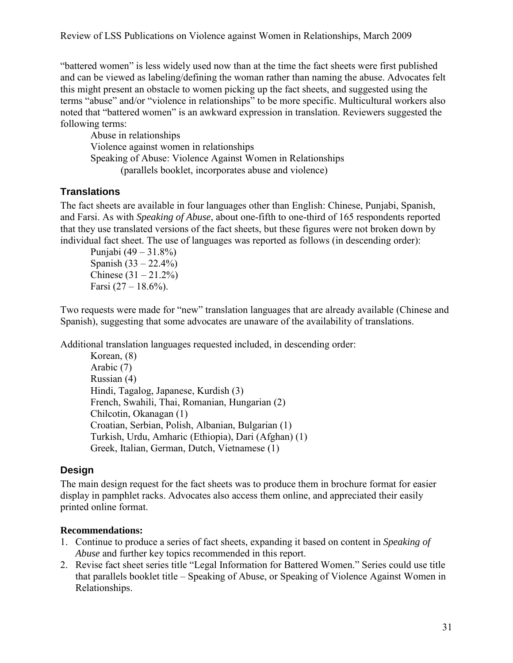"battered women" is less widely used now than at the time the fact sheets were first published and can be viewed as labeling/defining the woman rather than naming the abuse. Advocates felt this might present an obstacle to women picking up the fact sheets, and suggested using the terms "abuse" and/or "violence in relationships" to be more specific. Multicultural workers also noted that "battered women" is an awkward expression in translation. Reviewers suggested the following terms:

Abuse in relationships Violence against women in relationships Speaking of Abuse: Violence Against Women in Relationships (parallels booklet, incorporates abuse and violence)

# **Translations**

The fact sheets are available in four languages other than English: Chinese, Punjabi, Spanish, and Farsi. As with *Speaking of Abuse*, about one-fifth to one-third of 165 respondents reported that they use translated versions of the fact sheets, but these figures were not broken down by individual fact sheet. The use of languages was reported as follows (in descending order):

Punjabi (49 – 31.8%) Spanish  $(33 - 22.4\%)$ Chinese  $(31 - 21.2\%)$ Farsi  $(27 - 18.6\%)$ .

Two requests were made for "new" translation languages that are already available (Chinese and Spanish), suggesting that some advocates are unaware of the availability of translations.

Additional translation languages requested included, in descending order:

Korean, (8) Arabic (7) Russian (4) Hindi, Tagalog, Japanese, Kurdish (3) French, Swahili, Thai, Romanian, Hungarian (2) Chilcotin, Okanagan (1) Croatian, Serbian, Polish, Albanian, Bulgarian (1) Turkish, Urdu, Amharic (Ethiopia), Dari (Afghan) (1) Greek, Italian, German, Dutch, Vietnamese (1)

## **Design**

The main design request for the fact sheets was to produce them in brochure format for easier display in pamphlet racks. Advocates also access them online, and appreciated their easily printed online format.

## **Recommendations:**

- 1. Continue to produce a series of fact sheets, expanding it based on content in *Speaking of Abuse* and further key topics recommended in this report.
- 2. Revise fact sheet series title "Legal Information for Battered Women." Series could use title that parallels booklet title – Speaking of Abuse, or Speaking of Violence Against Women in Relationships.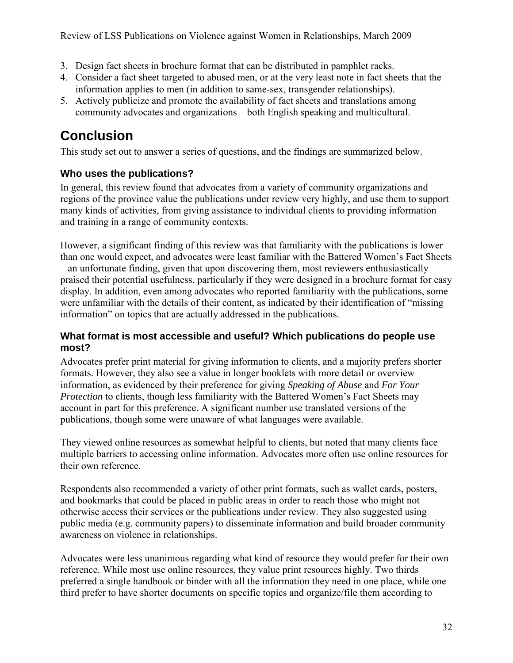- 3. Design fact sheets in brochure format that can be distributed in pamphlet racks.
- 4. Consider a fact sheet targeted to abused men, or at the very least note in fact sheets that the information applies to men (in addition to same-sex, transgender relationships).
- 5. Actively publicize and promote the availability of fact sheets and translations among community advocates and organizations – both English speaking and multicultural.

# **Conclusion**

This study set out to answer a series of questions, and the findings are summarized below.

# **Who uses the publications?**

In general, this review found that advocates from a variety of community organizations and regions of the province value the publications under review very highly, and use them to support many kinds of activities, from giving assistance to individual clients to providing information and training in a range of community contexts.

However, a significant finding of this review was that familiarity with the publications is lower than one would expect, and advocates were least familiar with the Battered Women's Fact Sheets – an unfortunate finding, given that upon discovering them, most reviewers enthusiastically praised their potential usefulness, particularly if they were designed in a brochure format for easy display. In addition, even among advocates who reported familiarity with the publications, some were unfamiliar with the details of their content, as indicated by their identification of "missing information" on topics that are actually addressed in the publications.

## **What format is most accessible and useful? Which publications do people use most?**

Advocates prefer print material for giving information to clients, and a majority prefers shorter formats. However, they also see a value in longer booklets with more detail or overview information, as evidenced by their preference for giving *Speaking of Abuse* and *For Your Protection* to clients, though less familiarity with the Battered Women's Fact Sheets may account in part for this preference. A significant number use translated versions of the publications, though some were unaware of what languages were available.

They viewed online resources as somewhat helpful to clients, but noted that many clients face multiple barriers to accessing online information. Advocates more often use online resources for their own reference.

Respondents also recommended a variety of other print formats, such as wallet cards, posters, and bookmarks that could be placed in public areas in order to reach those who might not otherwise access their services or the publications under review. They also suggested using public media (e.g. community papers) to disseminate information and build broader community awareness on violence in relationships.

Advocates were less unanimous regarding what kind of resource they would prefer for their own reference. While most use online resources, they value print resources highly. Two thirds preferred a single handbook or binder with all the information they need in one place, while one third prefer to have shorter documents on specific topics and organize/file them according to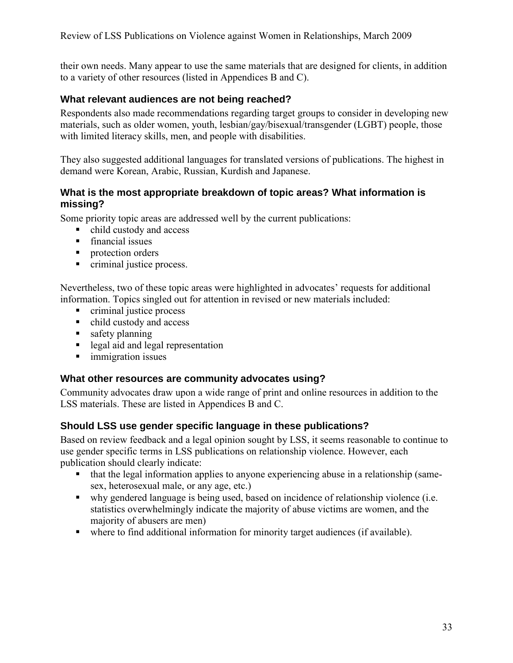their own needs. Many appear to use the same materials that are designed for clients, in addition to a variety of other resources (listed in Appendices B and C).

## **What relevant audiences are not being reached?**

Respondents also made recommendations regarding target groups to consider in developing new materials, such as older women, youth, lesbian/gay/bisexual/transgender (LGBT) people, those with limited literacy skills, men, and people with disabilities.

They also suggested additional languages for translated versions of publications. The highest in demand were Korean, Arabic, Russian, Kurdish and Japanese.

### **What is the most appropriate breakdown of topic areas? What information is missing?**

Some priority topic areas are addressed well by the current publications:

- child custody and access
- **financial issues**
- **protection orders**
- criminal justice process.

Nevertheless, two of these topic areas were highlighted in advocates' requests for additional information. Topics singled out for attention in revised or new materials included:

- **c** criminal justice process
- child custody and access
- safety planning
- legal aid and legal representation
- **immigration issues**

### **What other resources are community advocates using?**

Community advocates draw upon a wide range of print and online resources in addition to the LSS materials. These are listed in Appendices B and C.

### **Should LSS use gender specific language in these publications?**

Based on review feedback and a legal opinion sought by LSS, it seems reasonable to continue to use gender specific terms in LSS publications on relationship violence. However, each publication should clearly indicate:

- that the legal information applies to anyone experiencing abuse in a relationship (samesex, heterosexual male, or any age, etc.)
- why gendered language is being used, based on incidence of relationship violence (i.e. statistics overwhelmingly indicate the majority of abuse victims are women, and the majority of abusers are men)
- where to find additional information for minority target audiences (if available).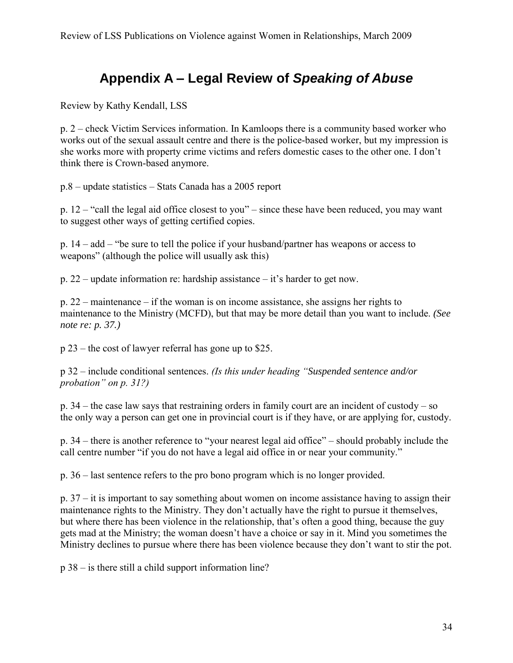# **Appendix A – Legal Review of** *Speaking of Abuse*

Review by Kathy Kendall, LSS

p. 2 – check Victim Services information. In Kamloops there is a community based worker who works out of the sexual assault centre and there is the police-based worker, but my impression is she works more with property crime victims and refers domestic cases to the other one. I don't think there is Crown-based anymore.

p.8 – update statistics – Stats Canada has a 2005 report

p. 12 – "call the legal aid office closest to you" – since these have been reduced, you may want to suggest other ways of getting certified copies.

p. 14 – add – "be sure to tell the police if your husband/partner has weapons or access to weapons" (although the police will usually ask this)

p. 22 – update information re: hardship assistance – it's harder to get now.

p. 22 – maintenance – if the woman is on income assistance, she assigns her rights to maintenance to the Ministry (MCFD), but that may be more detail than you want to include. *(See note re: p. 37.)* 

p 23 – the cost of lawyer referral has gone up to \$25.

p 32 – include conditional sentences. *(Is this under heading "Suspended sentence and/or probation" on p. 31?)*

p. 34 – the case law says that restraining orders in family court are an incident of custody – so the only way a person can get one in provincial court is if they have, or are applying for, custody.

p. 34 – there is another reference to "your nearest legal aid office" – should probably include the call centre number "if you do not have a legal aid office in or near your community."

p. 36 – last sentence refers to the pro bono program which is no longer provided.

p. 37 – it is important to say something about women on income assistance having to assign their maintenance rights to the Ministry. They don't actually have the right to pursue it themselves, but where there has been violence in the relationship, that's often a good thing, because the guy gets mad at the Ministry; the woman doesn't have a choice or say in it. Mind you sometimes the Ministry declines to pursue where there has been violence because they don't want to stir the pot.

p 38 – is there still a child support information line?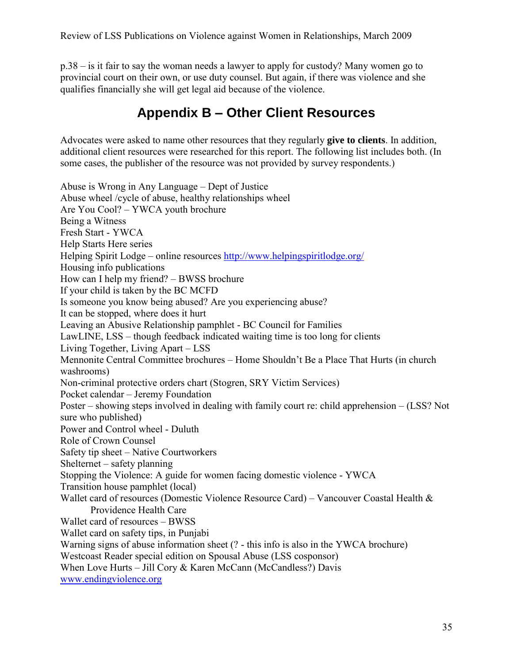p.38 – is it fair to say the woman needs a lawyer to apply for custody? Many women go to provincial court on their own, or use duty counsel. But again, if there was violence and she qualifies financially she will get legal aid because of the violence.

# **Appendix B – Other Client Resources**

Advocates were asked to name other resources that they regularly **give to clients**. In addition, additional client resources were researched for this report. The following list includes both. (In some cases, the publisher of the resource was not provided by survey respondents.)

Abuse is Wrong in Any Language – Dept of Justice Abuse wheel /cycle of abuse, healthy relationships wheel Are You Cool? – YWCA youth brochure Being a Witness Fresh Start - YWCA Help Starts Here series Helping Spirit Lodge – online resources<http://www.helpingspiritlodge.org/> Housing info publications How can I help my friend? – BWSS brochure If your child is taken by the BC MCFD Is someone you know being abused? Are you experiencing abuse? It can be stopped, where does it hurt Leaving an Abusive Relationship pamphlet - BC Council for Families LawLINE, LSS – though feedback indicated waiting time is too long for clients Living Together, Living Apart – LSS Mennonite Central Committee brochures – Home Shouldn't Be a Place That Hurts (in church washrooms) Non-criminal protective orders chart (Stogren, SRY Victim Services) Pocket calendar – Jeremy Foundation Poster – showing steps involved in dealing with family court re: child apprehension – (LSS? Not sure who published) Power and Control wheel - Duluth Role of Crown Counsel Safety tip sheet – Native Courtworkers Shelternet – safety planning Stopping the Violence: A guide for women facing domestic violence - YWCA Transition house pamphlet (local) Wallet card of resources (Domestic Violence Resource Card) – Vancouver Coastal Health & Providence Health Care Wallet card of resources – BWSS Wallet card on safety tips, in Punjabi Warning signs of abuse information sheet (? - this info is also in the YWCA brochure) Westcoast Reader special edition on Spousal Abuse (LSS cosponsor) When Love Hurts – Jill Cory & Karen McCann (McCandless?) Davis [www.endingviolence.org](http://www.endingviolence.org/)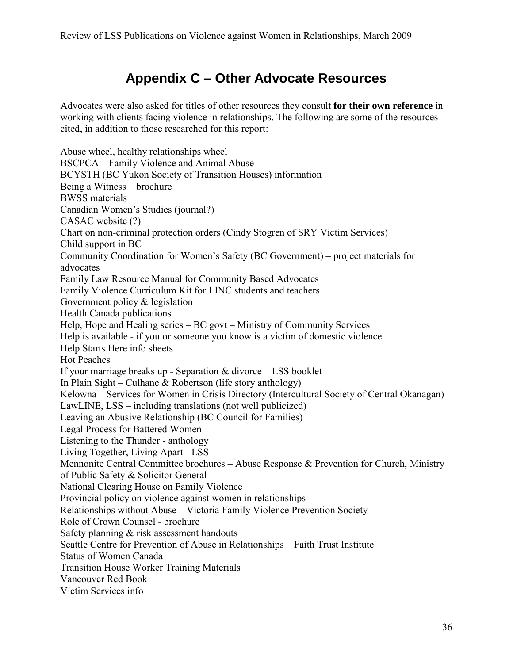# **Appendix C – Other Advocate Resources**

Advocates were also asked for titles of other resources they consult **for their own reference** in working with clients facing violence in relationships. The following are some of the resources cited, in addition to those researched for this report:

Abuse wheel, healthy relationships wheel BSCPCA – Family Violence and Animal Abuse BCYSTH (BC Yukon Society of Transition Houses) information Being a Witness – brochure BWSS materials Canadian Women's Studies (journal?) CASAC website (?) Chart on non-criminal protection orders (Cindy Stogren of SRY Victim Services) Child support in BC Community Coordination for Women's Safety (BC Government) – project materials for advocates Family Law Resource Manual for Community Based Advocates Family Violence Curriculum Kit for LINC students and teachers Government policy & legislation Health Canada publications Help, Hope and Healing series – BC govt – Ministry of Community Services Help is available - if you or someone you know is a victim of domestic violence Help Starts Here info sheets Hot Peaches If your marriage breaks up - Separation & divorce – LSS booklet In Plain Sight – Culhane & Robertson (life story anthology) Kelowna – Services for Women in Crisis Directory (Intercultural Society of Central Okanagan) LawLINE, LSS – including translations (not well publicized) Leaving an Abusive Relationship (BC Council for Families) Legal Process for Battered Women Listening to the Thunder - anthology Living Together, Living Apart - LSS Mennonite Central Committee brochures – Abuse Response & Prevention for Church, Ministry of Public Safety & Solicitor General National Clearing House on Family Violence Provincial policy on violence against women in relationships Relationships without Abuse – Victoria Family Violence Prevention Society Role of Crown Counsel - brochure Safety planning & risk assessment handouts Seattle Centre for Prevention of Abuse in Relationships – Faith Trust Institute Status of Women Canada Transition House Worker Training Materials Vancouver Red Book Victim Services info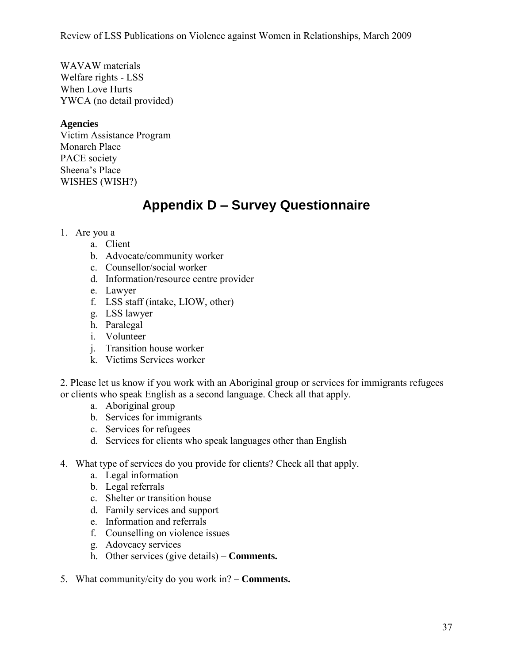WAVAW materials Welfare rights - LSS When Love Hurts YWCA (no detail provided)

### **Agencies**

Victim Assistance Program Monarch Place PACE society Sheena's Place WISHES (WISH?)

# **Appendix D – Survey Questionnaire**

- 1. Are you a
	- a. Client
	- b. Advocate/community worker
	- c. Counsellor/social worker
	- d. Information/resource centre provider
	- e. Lawyer
	- f. LSS staff (intake, LIOW, other)
	- g. LSS lawyer
	- h. Paralegal
	- i. Volunteer
	- j. Transition house worker
	- k. Victims Services worker

2. Please let us know if you work with an Aboriginal group or services for immigrants refugees or clients who speak English as a second language. Check all that apply.

- a. Aboriginal group
- b. Services for immigrants
- c. Services for refugees
- d. Services for clients who speak languages other than English
- 4. What type of services do you provide for clients? Check all that apply.
	- a. Legal information
	- b. Legal referrals
	- c. Shelter or transition house
	- d. Family services and support
	- e. Information and referrals
	- f. Counselling on violence issues
	- g. Adovcacy services
	- h. Other services (give details) **Comments.**
- 5. What community/city do you work in? **Comments.**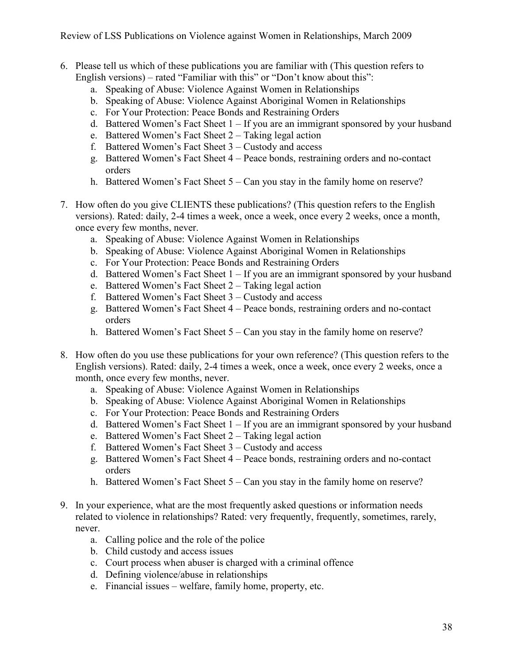- 6. Please tell us which of these publications you are familiar with (This question refers to English versions) – rated "Familiar with this" or "Don't know about this":
	- a. Speaking of Abuse: Violence Against Women in Relationships
	- b. Speaking of Abuse: Violence Against Aboriginal Women in Relationships
	- c. For Your Protection: Peace Bonds and Restraining Orders
	- d. Battered Women's Fact Sheet 1 If you are an immigrant sponsored by your husband
	- e. Battered Women's Fact Sheet 2 Taking legal action
	- f. Battered Women's Fact Sheet 3 Custody and access
	- g. Battered Women's Fact Sheet 4 Peace bonds, restraining orders and no-contact orders
	- h. Battered Women's Fact Sheet 5 Can you stay in the family home on reserve?
- 7. How often do you give CLIENTS these publications? (This question refers to the English versions). Rated: daily, 2-4 times a week, once a week, once every 2 weeks, once a month, once every few months, never.
	- a. Speaking of Abuse: Violence Against Women in Relationships
	- b. Speaking of Abuse: Violence Against Aboriginal Women in Relationships
	- c. For Your Protection: Peace Bonds and Restraining Orders
	- d. Battered Women's Fact Sheet 1 If you are an immigrant sponsored by your husband
	- e. Battered Women's Fact Sheet 2 Taking legal action
	- f. Battered Women's Fact Sheet 3 Custody and access
	- g. Battered Women's Fact Sheet 4 Peace bonds, restraining orders and no-contact orders
	- h. Battered Women's Fact Sheet 5 Can you stay in the family home on reserve?
- 8. How often do you use these publications for your own reference? (This question refers to the English versions). Rated: daily, 2-4 times a week, once a week, once every 2 weeks, once a month, once every few months, never.
	- a. Speaking of Abuse: Violence Against Women in Relationships
	- b. Speaking of Abuse: Violence Against Aboriginal Women in Relationships
	- c. For Your Protection: Peace Bonds and Restraining Orders
	- d. Battered Women's Fact Sheet 1 If you are an immigrant sponsored by your husband
	- e. Battered Women's Fact Sheet 2 Taking legal action
	- f. Battered Women's Fact Sheet 3 Custody and access
	- g. Battered Women's Fact Sheet 4 Peace bonds, restraining orders and no-contact orders
	- h. Battered Women's Fact Sheet 5 Can you stay in the family home on reserve?
- 9. In your experience, what are the most frequently asked questions or information needs related to violence in relationships? Rated: very frequently, frequently, sometimes, rarely, never.
	- a. Calling police and the role of the police
	- b. Child custody and access issues
	- c. Court process when abuser is charged with a criminal offence
	- d. Defining violence/abuse in relationships
	- e. Financial issues welfare, family home, property, etc.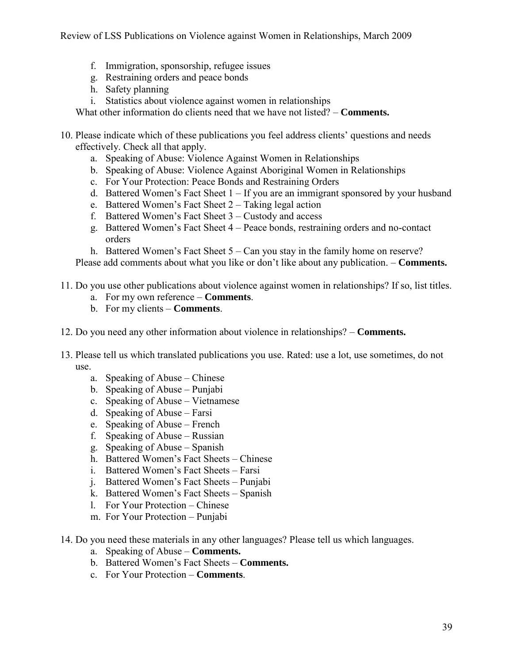- f. Immigration, sponsorship, refugee issues
- g. Restraining orders and peace bonds
- h. Safety planning
- i. Statistics about violence against women in relationships

What other information do clients need that we have not listed? – **Comments.** 

- 10. Please indicate which of these publications you feel address clients' questions and needs effectively. Check all that apply.
	- a. Speaking of Abuse: Violence Against Women in Relationships
	- b. Speaking of Abuse: Violence Against Aboriginal Women in Relationships
	- c. For Your Protection: Peace Bonds and Restraining Orders
	- d. Battered Women's Fact Sheet 1 If you are an immigrant sponsored by your husband
	- e. Battered Women's Fact Sheet 2 Taking legal action
	- f. Battered Women's Fact Sheet 3 Custody and access
	- g. Battered Women's Fact Sheet 4 Peace bonds, restraining orders and no-contact orders
	- h. Battered Women's Fact Sheet 5 Can you stay in the family home on reserve?

Please add comments about what you like or don't like about any publication. – **Comments.**

- 11. Do you use other publications about violence against women in relationships? If so, list titles.
	- a. For my own reference **Comments**.
	- b. For my clients **Comments**.
- 12. Do you need any other information about violence in relationships? **Comments.**
- 13. Please tell us which translated publications you use. Rated: use a lot, use sometimes, do not use.
	- a. Speaking of Abuse Chinese
	- b. Speaking of Abuse Punjabi
	- c. Speaking of Abuse Vietnamese
	- d. Speaking of Abuse Farsi
	- e. Speaking of Abuse French
	- f. Speaking of Abuse Russian
	- g. Speaking of Abuse Spanish
	- h. Battered Women's Fact Sheets Chinese
	- i. Battered Women's Fact Sheets Farsi
	- j. Battered Women's Fact Sheets Punjabi
	- k. Battered Women's Fact Sheets Spanish
	- l. For Your Protection Chinese
	- m. For Your Protection Punjabi
- 14. Do you need these materials in any other languages? Please tell us which languages.
	- a. Speaking of Abuse **Comments.**
	- b. Battered Women's Fact Sheets **Comments.**
	- c. For Your Protection **Comments**.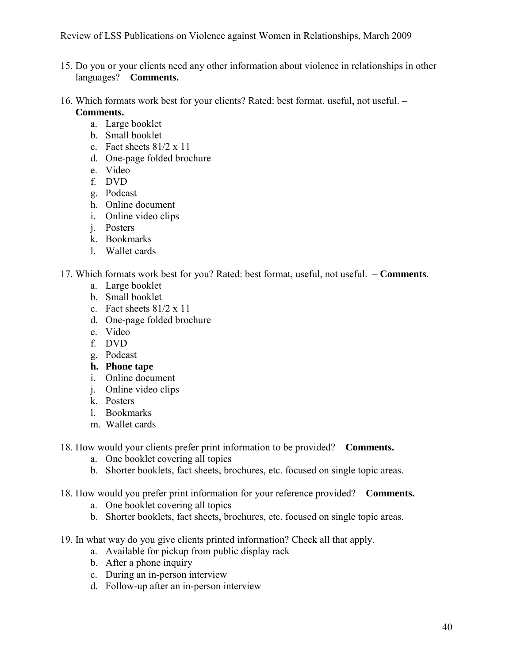- 15. Do you or your clients need any other information about violence in relationships in other languages? – **Comments.**
- 16. Which formats work best for your clients? Rated: best format, useful, not useful. **Comments.**
	- a. Large booklet
	- b. Small booklet
	- c. Fact sheets 81/2 x 11
	- d. One-page folded brochure
	- e. Video
	- f. DVD
	- g. Podcast
	- h. Online document
	- i. Online video clips
	- j. Posters
	- k. Bookmarks
	- l. Wallet cards
- 17. Which formats work best for you? Rated: best format, useful, not useful. **Comments**.
	- a. Large booklet
	- b. Small booklet
	- c. Fact sheets 81/2 x 11
	- d. One-page folded brochure
	- e. Video
	- f. DVD
	- g. Podcast
	- **h. Phone tape**
	- i. Online document
	- j. Online video clips
	- k. Posters
	- l. Bookmarks
	- m. Wallet cards
- 18. How would your clients prefer print information to be provided? **Comments.**
	- a. One booklet covering all topics
	- b. Shorter booklets, fact sheets, brochures, etc. focused on single topic areas.
- 18. How would you prefer print information for your reference provided? **Comments.**
	- a. One booklet covering all topics
	- b. Shorter booklets, fact sheets, brochures, etc. focused on single topic areas.
- 19. In what way do you give clients printed information? Check all that apply.
	- a. Available for pickup from public display rack
	- b. After a phone inquiry
	- c. During an in-person interview
	- d. Follow-up after an in-person interview